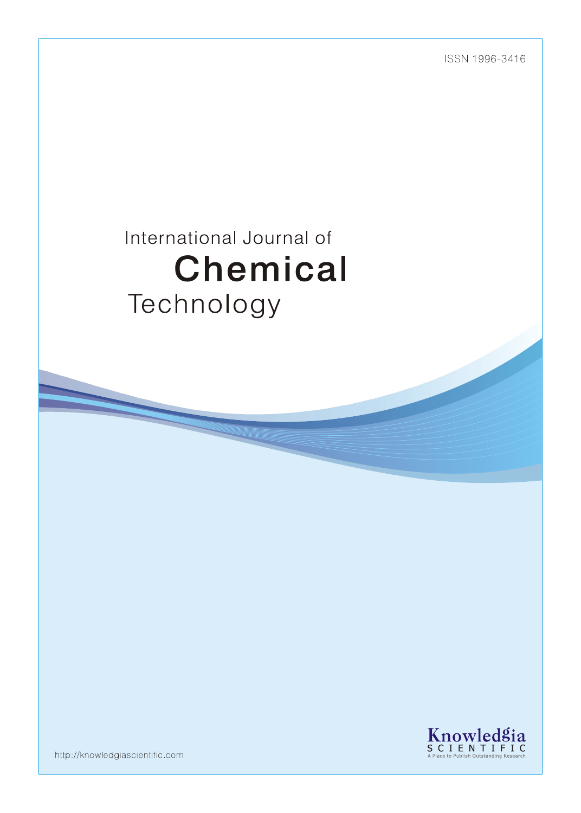ISSN 1996-3416

# International Journal of Chemical Technology



http://knowledgiascientific.com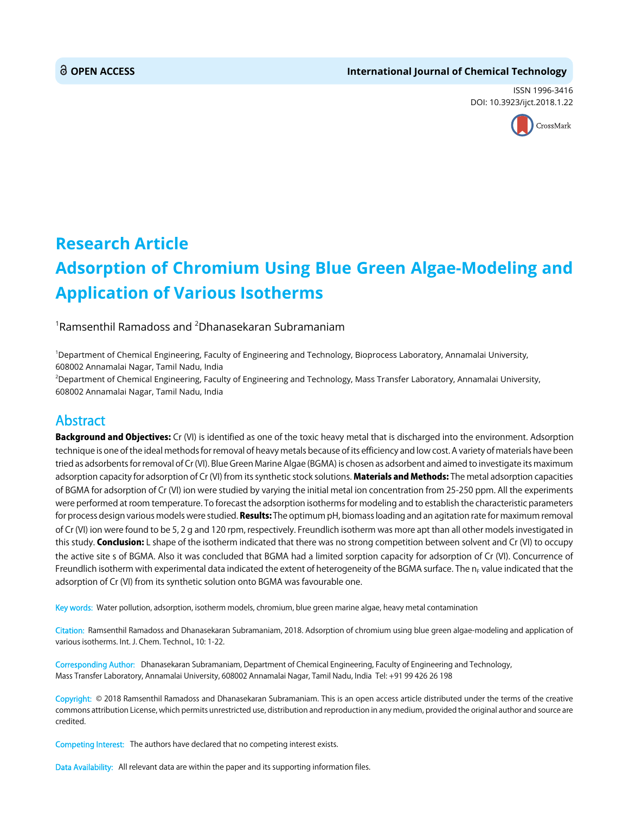#### **OPEN ACCESS International Journal of Chemical Technology**

ISSN 1996-3416 DOI: 10.3923/ijct.2018.1.22



## **Research Article Adsorption of Chromium Using Blue Green Algae-Modeling and Application of Various Isotherms**

#### $^{\rm 1}$ Ramsenthil Ramadoss and  $^{\rm 2}$ Dhanasekaran Subramaniam

1 Department of Chemical Engineering, Faculty of Engineering and Technology, Bioprocess Laboratory, Annamalai University, 608002 Annamalai Nagar, Tamil Nadu, India

2 Department of Chemical Engineering, Faculty of Engineering and Technology, Mass Transfer Laboratory, Annamalai University, 608002 Annamalai Nagar, Tamil Nadu, India

### **Abstract**

Background and Objectives: Cr (VI) is identified as one of the toxic heavy metal that is discharged into the environment. Adsorption technique is one of the ideal methods for removal of heavy metals because of its efficiency and low cost. A variety of materials have been tried as adsorbents for removal of Cr (VI). Blue Green Marine Algae (BGMA) is chosen as adsorbent and aimed to investigate its maximum adsorption capacity for adsorption of Cr (VI) from its synthetic stock solutions. Materials and Methods: The metal adsorption capacities of BGMA for adsorption of Cr (VI) ion were studied by varying the initial metal ion concentration from 25-250 ppm. All the experiments were performed at room temperature. To forecast the adsorption isotherms for modeling and to establish the characteristic parameters for process design various models were studied. Results: The optimum pH, biomass loading and an agitation rate for maximum removal of Cr (VI) ion were found to be 5, 2 g and 120 rpm, respectively. Freundlich isotherm was more apt than all other models investigated in this study. **Conclusion:** L shape of the isotherm indicated that there was no strong competition between solvent and Cr (VI) to occupy the active site s of BGMA. Also it was concluded that BGMA had a limited sorption capacity for adsorption of Cr (VI). Concurrence of Freundlich isotherm with experimental data indicated the extent of heterogeneity of the BGMA surface. The  $n<sub>F</sub>$  value indicated that the adsorption of Cr (VI) from its synthetic solution onto BGMA was favourable one.

Key words: Water pollution, adsorption, isotherm models, chromium, blue green marine algae, heavy metal contamination

Citation: Ramsenthil Ramadoss and Dhanasekaran Subramaniam, 2018. Adsorption of chromium using blue green algae-modeling and application of various isotherms. Int. J. Chem. Technol., 10: 1-22.

Corresponding Author: Dhanasekaran Subramaniam, Department of Chemical Engineering, Faculty of Engineering and Technology, Mass Transfer Laboratory, Annamalai University, 608002 Annamalai Nagar, Tamil Nadu, India Tel: +91 99 426 26 198

Copyright: © 2018 Ramsenthil Ramadoss and Dhanasekaran Subramaniam. This is an open access article distributed under the terms of the creative commons attribution License, which permits unrestricted use, distribution and reproduction in any medium, provided the original author and source are credited.

Competing Interest: The authors have declared that no competing interest exists.

Data Availability: All relevant data are within the paper and its supporting information files.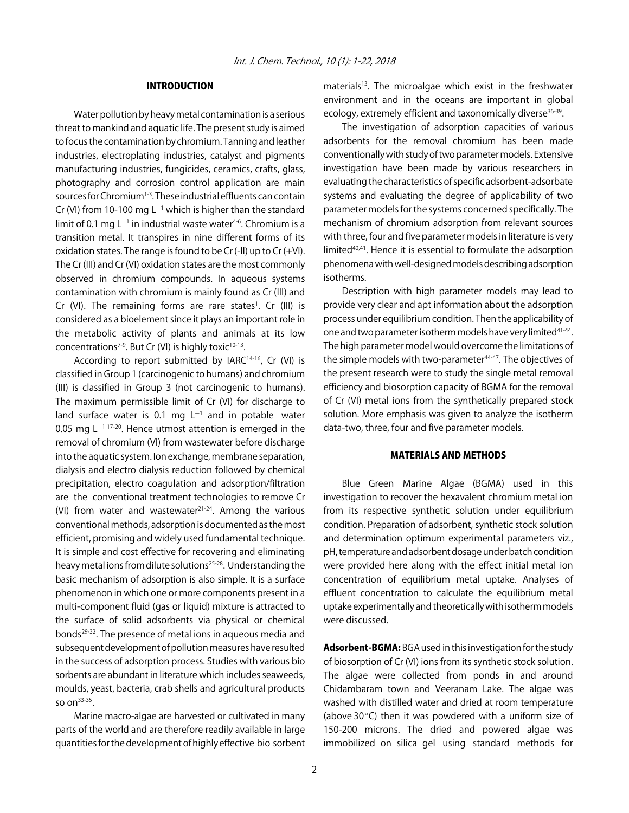#### INTRODUCTION

Water pollution by heavy metal contamination is a serious threat to mankind and aquatic life. The present study is aimed to focus the contamination by chromium. Tanning and leather industries, electroplating industries, catalyst and pigments manufacturing industries, fungicides, ceramics, crafts, glass, photography and corrosion control application are main sources for Chromium<sup>1-3</sup>. These industrial effluents can contain Cr (VI) from 10-100 mg L<sup>-1</sup> which is higher than the standard limit of 0.1 mg L<sup>-1</sup> in industrial waste water<sup>4-6</sup>. Chromium is a transition metal. It transpires in nine different forms of its oxidation states. The range is found to be  $Cr$  (-II) up to  $Cr$  (+VI). The Cr (III) and Cr (VI) oxidation states are the most commonly observed in chromium compounds. In aqueous systems contamination with chromium is mainly found as Cr (III) and Cr (VI). The remaining forms are rare states<sup>1</sup>. Cr (III) is considered as a bioelement since it plays an important role in the metabolic activity of plants and animals at its low concentrations<sup>7-9</sup>. But Cr (VI) is highly toxic<sup>10-13</sup>.

According to report submitted by IARC<sup>14-16</sup>, Cr (VI) is classified in Group 1 (carcinogenic to humans) and chromium (III) is classified in Group 3 (not carcinogenic to humans). The maximum permissible limit of Cr (VI) for discharge to land surface water is 0.1 mg  $L^{-1}$  and in potable water 0.05 mg  $L^{-1}$  17-20. Hence utmost attention is emerged in the removal of chromium (VI) from wastewater before discharge into the aquatic system. Ion exchange, membrane separation, dialysis and electro dialysis reduction followed by chemical precipitation, electro coagulation and adsorption/filtration are the conventional treatment technologies to remove Cr (VI) from water and wastewater $21-24$ . Among the various conventional methods, adsorption is documented as the most efficient, promising and widely used fundamental technique. It is simple and cost effective for recovering and eliminating heavy metal ions from dilute solutions<sup>25-28</sup>. Understanding the basic mechanism of adsorption is also simple. It is a surface phenomenon in which one or more components present in a multi-component fluid (gas or liquid) mixture is attracted to the surface of solid adsorbents via physical or chemical bonds<sup>29-32</sup>. The presence of metal ions in aqueous media and subsequent development of pollution measures have resulted in the success of adsorption process. Studies with various bio sorbents are abundant in literature which includes seaweeds, moulds, yeast, bacteria, crab shells and agricultural products so on33-35.

Marine macro-algae are harvested or cultivated in many parts of the world and are therefore readily available in large quantities for the development of highly effective bio sorbent materials<sup>13</sup>. The microalgae which exist in the freshwater environment and in the oceans are important in global ecology, extremely efficient and taxonomically diverse<sup>36-39</sup>.

The investigation of adsorption capacities of various adsorbents for the removal chromium has been made conventionally with study of two parameter models. Extensive investigation have been made by various researchers in evaluating the characteristics of specific adsorbent-adsorbate systems and evaluating the degree of applicability of two parameter models for the systems concerned specifically. The mechanism of chromium adsorption from relevant sources with three, four and five parameter models in literature is very limited<sup>40,41</sup>. Hence it is essential to formulate the adsorption phenomena with well-designed models describing adsorption isotherms.

Description with high parameter models may lead to provide very clear and apt information about the adsorption process under equilibrium condition. Then the applicability of one and two parameter isotherm models have very limited<sup>41-44</sup>. The high parameter model would overcome the limitations of the simple models with two-parameter<sup>44-47</sup>. The objectives of the present research were to study the single metal removal efficiency and biosorption capacity of BGMA for the removal of Cr (VI) metal ions from the synthetically prepared stock solution. More emphasis was given to analyze the isotherm data-two, three, four and five parameter models.

#### MATERIALS AND METHODS

Blue Green Marine Algae (BGMA) used in this investigation to recover the hexavalent chromium metal ion from its respective synthetic solution under equilibrium condition. Preparation of adsorbent, synthetic stock solution and determination optimum experimental parameters viz., pH, temperature and adsorbent dosage under batch condition were provided here along with the effect initial metal ion concentration of equilibrium metal uptake. Analyses of effluent concentration to calculate the equilibrium metal uptake experimentally and theoretically with isotherm models were discussed.

Adsorbent-BGMA: BGA used in this investigation for the study of biosorption of Cr (VI) ions from its synthetic stock solution. The algae were collected from ponds in and around Chidambaram town and Veeranam Lake. The algae was washed with distilled water and dried at room temperature (above  $30^{\circ}$ C) then it was powdered with a uniform size of 150-200 microns. The dried and powered algae was immobilized on silica gel using standard methods for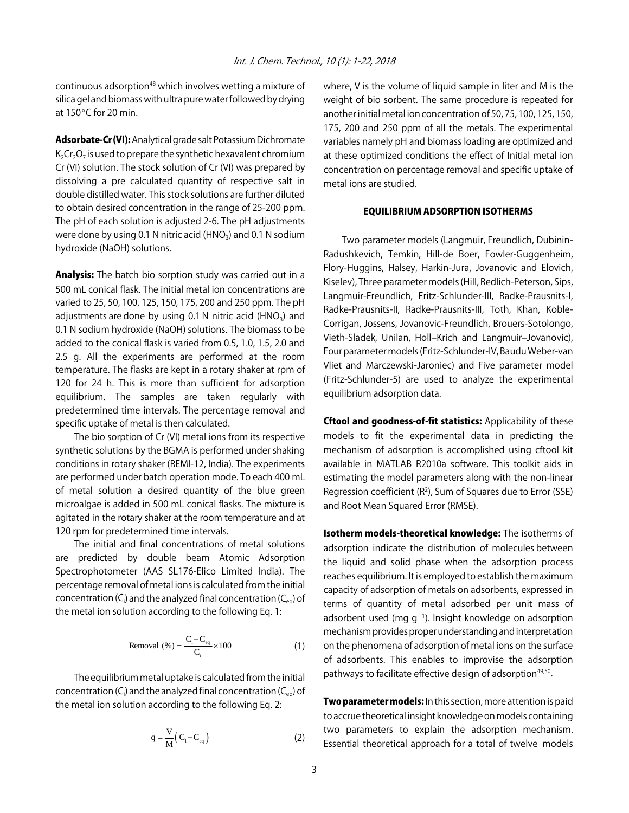continuous adsorption<sup>48</sup> which involves wetting a mixture of silica gel and biomass with ultra pure water followed by drying at  $150^{\circ}$ C for 20 min.

Adsorbate-Cr (VI): Analytical grade salt Potassium Dichromate  $K<sub>2</sub>Cr<sub>2</sub>O<sub>7</sub>$  is used to prepare the synthetic hexavalent chromium Cr (VI) solution. The stock solution of Cr (VI) was prepared by dissolving a pre calculated quantity of respective salt in double distilled water. This stock solutions are further diluted to obtain desired concentration in the range of 25-200 ppm. The pH of each solution is adjusted 2-6. The pH adjustments were done by using 0.1 N nitric acid (HNO<sub>3</sub>) and 0.1 N sodium hydroxide (NaOH) solutions.

Analysis: The batch bio sorption study was carried out in a 500 mL conical flask. The initial metal ion concentrations are varied to 25, 50, 100, 125, 150, 175, 200 and 250 ppm. The pH adjustments are done by using 0.1 N nitric acid (HNO<sub>3</sub>) and 0.1 N sodium hydroxide (NaOH) solutions. The biomass to be added to the conical flask is varied from 0.5, 1.0, 1.5, 2.0 and 2.5 g. All the experiments are performed at the room temperature. The flasks are kept in a rotary shaker at rpm of 120 for 24 h. This is more than sufficient for adsorption equilibrium. The samples are taken regularly with predetermined time intervals. The percentage removal and specific uptake of metal is then calculated.

The bio sorption of Cr (VI) metal ions from its respective synthetic solutions by the BGMA is performed under shaking conditions in rotary shaker (REMI-12, India). The experiments are performed under batch operation mode. To each 400 mL of metal solution a desired quantity of the blue green microalgae is added in 500 mL conical flasks. The mixture is agitated in the rotary shaker at the room temperature and at 120 rpm for predetermined time intervals.

The initial and final concentrations of metal solutions are predicted by double beam Atomic Adsorption Spectrophotometer (AAS SL176-Elico Limited India). The percentage removal of metal ions is calculated from the initial concentration (C<sub>i</sub>) and the analyzed final concentration (C<sub>eq</sub>) of the metal ion solution according to the following Eq. 1:

Removal (%) = 
$$
\frac{C_i - C_{eq}}{C_i} \times 100
$$
 (1)

The equilibrium metal uptake is calculated from the initial concentration (C $_{\rm i}$ ) and the analyzed final concentration (C $_{\rm eq}$ ) of the metal ion solution according to the following Eq. 2:

$$
q = \frac{V}{M} (C_{i} - C_{eq})
$$
 (2)

where, V is the volume of liquid sample in liter and M is the weight of bio sorbent. The same procedure is repeated for another initial metal ion concentration of 50, 75, 100, 125, 150, 175, 200 and 250 ppm of all the metals. The experimental variables namely pH and biomass loading are optimized and at these optimized conditions the effect of Initial metal ion concentration on percentage removal and specific uptake of metal ions are studied.

#### EQUILIBRIUM ADSORPTION ISOTHERMS

Two parameter models (Langmuir, Freundlich, Dubinin-Radushkevich, Temkin, Hill-de Boer, Fowler-Guggenheim, Flory-Huggins, Halsey, Harkin-Jura, Jovanovic and Elovich, Kiselev), Three parameter models (Hill, Redlich-Peterson, Sips, Langmuir-Freundlich, Fritz-Schlunder-III, Radke-Prausnits-I, Radke-Prausnits-II, Radke-Prausnits-III, Toth, Khan, Koble-Corrigan, Jossens, Jovanovic-Freundlich, Brouers-Sotolongo, Vieth-Sladek, Unilan, Holl-Krich and Langmuir-Jovanovic), Four parameter models (Fritz-Schlunder-IV, Baudu Weber-van Vliet and Marczewski-Jaroniec) and Five parameter model (Fritz-Schlunder-5) are used to analyze the experimental equilibrium adsorption data.

**Cftool and goodness-of-fit statistics:** Applicability of these models to fit the experimental data in predicting the mechanism of adsorption is accomplished using cftool kit available in MATLAB R2010a software. This toolkit aids in estimating the model parameters along with the non-linear Regression coefficient  $(R^2)$ , Sum of Squares due to Error (SSE) and Root Mean Squared Error (RMSE).

Isotherm models-theoretical knowledge: The isotherms of adsorption indicate the distribution of molecules between the liquid and solid phase when the adsorption process reaches equilibrium. It is employed to establish the maximum capacity of adsorption of metals on adsorbents, expressed in terms of quantity of metal adsorbed per unit mass of adsorbent used (mg  $g^{-1}$ ). Insight knowledge on adsorption mechanism provides proper understanding and interpretation on the phenomena of adsorption of metal ions on the surface of adsorbents. This enables to improvise the adsorption pathways to facilitate effective design of adsorption<sup>49,50</sup>.

**Two parameter models:** In this section, more attention is paid to accrue theoretical insight knowledge on models containing two parameters to explain the adsorption mechanism. Essential theoretical approach for a total of twelve models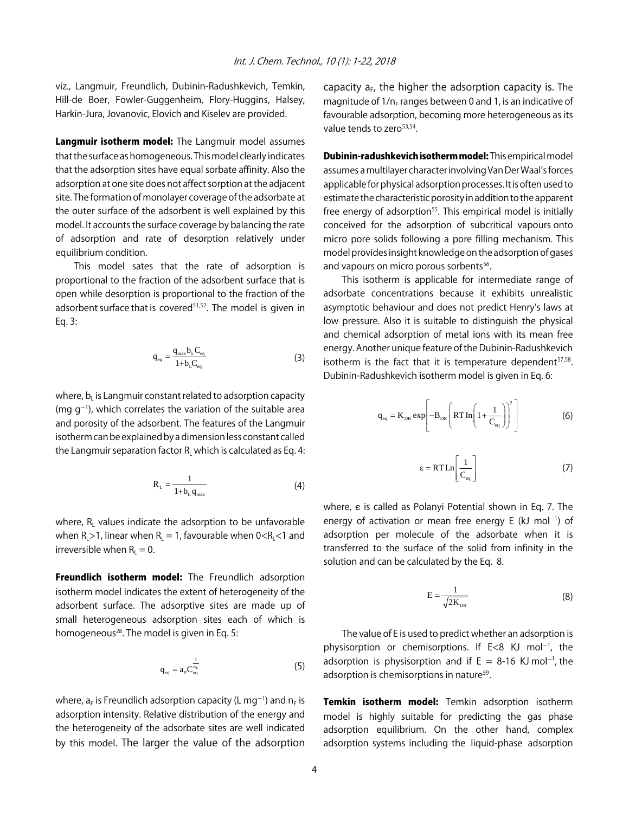viz., Langmuir, Freundlich, Dubinin-Radushkevich, Temkin, Hill-de Boer, Fowler-Guggenheim, Flory-Huggins, Halsey, Harkin-Jura, Jovanovic, Elovich and Kiselev are provided.

Langmuir isotherm model: The Langmuir model assumes that the surface as homogeneous. This model clearly indicates that the adsorption sites have equal sorbate affinity. Also the adsorption at one site does not affect sorption at the adjacent site. The formation of monolayer coverage of the adsorbate at the outer surface of the adsorbent is well explained by this model. It accounts the surface coverage by balancing the rate of adsorption and rate of desorption relatively under equilibrium condition.

This model sates that the rate of adsorption is proportional to the fraction of the adsorbent surface that is open while desorption is proportional to the fraction of the adsorbent surface that is covered<sup>51,52</sup>. The model is given in Eq. 3:

$$
q_{\rm eq} = \frac{q_{\rm max} b_{\rm L} C_{\rm eq}}{1 + b_{\rm L} C_{\rm eq}}\tag{3}
$$

where,  $b<sub>l</sub>$  is Langmuir constant related to adsorption capacity (mg  $g^{-1}$ ), which correlates the variation of the suitable area and porosity of the adsorbent. The features of the Langmuir isotherm can be explained by a dimension less constant called the Langmuir separation factor  $R_1$  which is calculated as Eq. 4:

$$
R_{L} = \frac{1}{1 + b_{L} q_{max}} \tag{4}
$$

where,  $R_{\text{L}}$  values indicate the adsorption to be unfavorable when  $R_1 > 1$ , linear when  $R_1 = 1$ , favourable when  $0 < R_1 < 1$  and irreversible when  $R_1 = 0$ .

Freundlich isotherm model: The Freundlich adsorption isotherm model indicates the extent of heterogeneity of the adsorbent surface. The adsorptive sites are made up of small heterogeneous adsorption sites each of which is homogeneous<sup>28</sup>. The model is given in Eq. 5:

$$
q_{eq} = a_r C_{eq}^{\frac{1}{n_r}}
$$
 (5)

where,  $\mathsf{a}_\mathsf{F}$  is Freundlich adsorption capacity (L mg $^{-1}$ ) and  $\mathsf{n}_\mathsf{F}$  is adsorption intensity. Relative distribution of the energy and the heterogeneity of the adsorbate sites are well indicated by this model. The larger the value of the adsorption capacity  $a_F$ , the higher the adsorption capacity is. The magnitude of  $1/n_F$  ranges between 0 and 1, is an indicative of favourable adsorption, becoming more heterogeneous as its value tends to zero<sup>53,54</sup>

Dubinin-radushkevich isotherm model: This empirical model assumes a multilayer character involving Van Der Waal's forces applicable for physical adsorption processes. It is often used to estimate the characteristic porosity in addition to the apparent free energy of adsorption<sup>55</sup>. This empirical model is initially conceived for the adsorption of subcritical vapours onto micro pore solids following a pore filling mechanism. This model provides insight knowledge on the adsorption of gases and vapours on micro porous sorbents<sup>56</sup>.

This isotherm is applicable for intermediate range of adsorbate concentrations because it exhibits unrealistic asymptotic behaviour and does not predict Henry's laws at low pressure. Also it is suitable to distinguish the physical and chemical adsorption of metal ions with its mean free energy. Another unique feature of the Dubinin-Radushkevich isotherm is the fact that it is temperature dependent $57,58$ . Dubinin-Radushkevich isotherm model is given in Eq. 6:

$$
q_{eq} = K_{DR} exp \left[ -B_{DR} \left( RTIn \left( 1 + \frac{1}{C_{eq}} \right) \right)^2 \right]
$$
 (6)

$$
\varepsilon = RTLn\left[\frac{1}{C_{\text{eq}}}\right]
$$
 (7)

where,  $\epsilon$  is called as Polanyi Potential shown in Eq. 7. The energy of activation or mean free energy E (kJ mol $^{-1}$ ) of adsorption per molecule of the adsorbate when it is transferred to the surface of the solid from infinity in the solution and can be calculated by the Eq. 8.

$$
E = \frac{1}{\sqrt{2K_{DR}}} \tag{8}
$$

The value of E is used to predict whether an adsorption is physisorption or chemisorptions. If  $E < 8$  KJ mol<sup>-1</sup>, the adsorption is physisorption and if  $E = 8$ -16 KJ mol<sup>-1</sup>, the adsorption is chemisorptions in nature<sup>59</sup>.

Temkin isotherm model: Temkin adsorption isotherm model is highly suitable for predicting the gas phase adsorption equilibrium. On the other hand, complex adsorption systems including the liquid-phase adsorption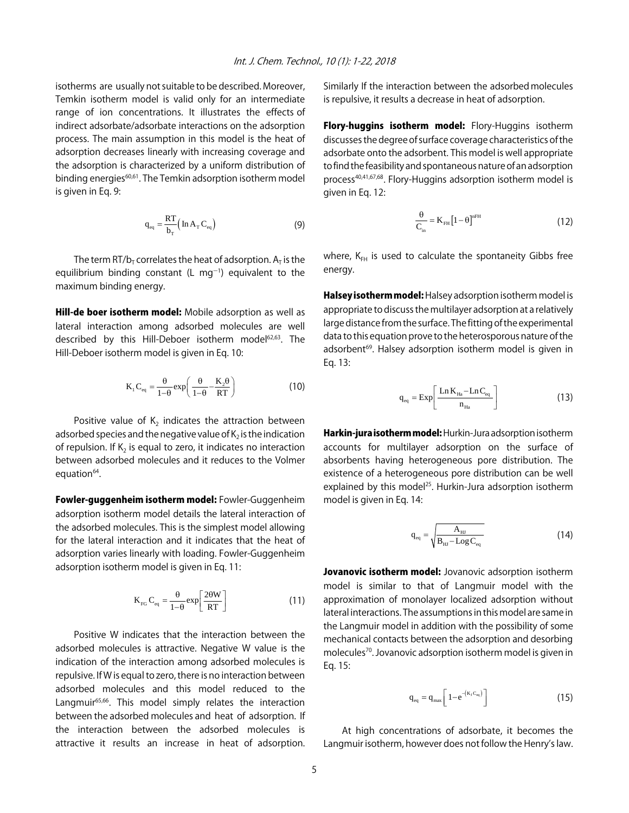isotherms are usually not suitable to be described. Moreover, Temkin isotherm model is valid only for an intermediate range of ion concentrations. It illustrates the effects of indirect adsorbate/adsorbate interactions on the adsorption process. The main assumption in this model is the heat of adsorption decreases linearly with increasing coverage and the adsorption is characterized by a uniform distribution of binding energies<sup>60,61</sup>. The Temkin adsorption isotherm model is given in Eq. 9:

$$
q_{\text{eq}} = \frac{RT}{b_{\text{T}}} \left( \ln A_{\text{T}} C_{\text{eq}} \right)
$$
 (9)

The term RT/b<sub>T</sub> correlates the heat of adsorption.  $A_T$  is the equilibrium binding constant (L mg $^{-1}$ ) equivalent to the maximum binding energy.

Hill-de boer isotherm model: Mobile adsorption as well as lateral interaction among adsorbed molecules are well described by this Hill-Deboer isotherm model<sup>62,63</sup>. The Hill-Deboer isotherm model is given in Eq. 10:

$$
K_1 C_{eq} = \frac{\theta}{1-\theta} \exp\left(\frac{\theta}{1-\theta} - \frac{K_2 \theta}{RT}\right)
$$
 (10)

Positive value of  $K_2$  indicates the attraction between adsorbed species and the negative value of  $K_2$  is the indication of repulsion. If  $K<sub>2</sub>$  is equal to zero, it indicates no interaction between adsorbed molecules and it reduces to the Volmer equation<sup>64</sup>.

Fowler-guggenheim isotherm model: Fowler-Guggenheim adsorption isotherm model details the lateral interaction of the adsorbed molecules. This is the simplest model allowing for the lateral interaction and it indicates that the heat of adsorption varies linearly with loading. Fowler-Guggenheim adsorption isotherm model is given in Eq. 11:

$$
K_{FG} C_{eq} = \frac{\theta}{1-\theta} exp\left[\frac{2\theta W}{RT}\right]
$$
 (11)

Positive W indicates that the interaction between the adsorbed molecules is attractive. Negative W value is the indication of the interaction among adsorbed molecules is repulsive. If W is equal to zero, there is no interaction between adsorbed molecules and this model reduced to the Langmuir<sup>65,66</sup>. This model simply relates the interaction between the adsorbed molecules and heat of adsorption. If the interaction between the adsorbed molecules is attractive it results an increase in heat of adsorption.

Similarly If the interaction between the adsorbed molecules is repulsive, it results a decrease in heat of adsorption.

Flory-huggins isotherm model: Flory-Huggins isotherm discusses the degree of surface coverage characteristics of the adsorbate onto the adsorbent. This model is well appropriate to find the feasibility and spontaneous nature of an adsorption process<sup>40,41,67,68</sup>. Flory-Huggins adsorption isotherm model is given in Eq. 12:

$$
\frac{\theta}{C_{\text{in}}} = K_{\text{FH}} \left[ 1 - \theta \right]^{\text{nFH}}
$$
\n(12)

where,  $K_{FH}$  is used to calculate the spontaneity Gibbs free energy.

Halsey isotherm model: Halsey adsorption isotherm model is appropriate to discuss the multilayer adsorption at a relatively large distance from the surface. The fitting of the experimental data to this equation prove to the heterosporous nature of the adsorbent<sup>69</sup>. Halsey adsorption isotherm model is given in Eq. 13:

$$
q_{\text{eq}} = \text{Exp}\left[\frac{\text{Ln} K_{\text{Ha}} - \text{Ln} C_{\text{eq}}}{n_{\text{Ha}}}\right] \tag{13}
$$

Harkin-jura isotherm model: Hurkin-Jura adsorption isotherm accounts for multilayer adsorption on the surface of absorbents having heterogeneous pore distribution. The existence of a heterogeneous pore distribution can be well explained by this model<sup>25</sup>. Hurkin-Jura adsorption isotherm model is given in Eq. 14:

$$
q_{\text{eq}} = \sqrt{\frac{A_{\text{HJ}}}{B_{\text{HJ}} - \text{Log } C_{\text{eq}}}}
$$
(14)

Jovanovic isotherm model: Jovanovic adsorption isotherm model is similar to that of Langmuir model with the approximation of monolayer localized adsorption without lateral interactions. The assumptions in this model are same in the Langmuir model in addition with the possibility of some mechanical contacts between the adsorption and desorbing molecules70. Jovanovic adsorption isotherm model is given in Eq. 15:

$$
q_{eq} = q_{max} \left[ 1 - e^{-(K_1 C_{eq})} \right] \tag{15}
$$

At high concentrations of adsorbate, it becomes the Langmuir isotherm, however does not follow the Henry's law.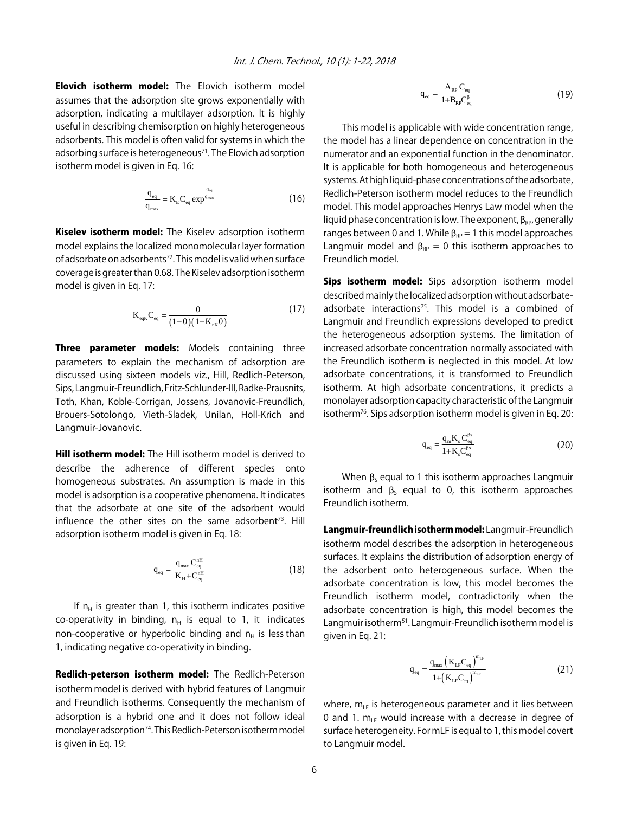**Elovich isotherm model:** The Elovich isotherm model assumes that the adsorption site grows exponentially with adsorption, indicating a multilayer adsorption. It is highly useful in describing chemisorption on highly heterogeneous adsorbents. This model is often valid for systems in which the adsorbing surface is heterogeneous<sup>71</sup>. The Elovich adsorption isotherm model is given in Eq. 16:

$$
\frac{q_{\text{eq}}}{q_{\text{max}}} = K_{\text{E}} C_{\text{eq}} \exp^{\frac{q_{\text{eq}}}{q_{\text{max}}}}
$$
(16)

Kiselev isotherm model: The Kiselev adsorption isotherm model explains the localized monomolecular layer formation of adsorbate on adsorbents<sup>72</sup>. This model is valid when surface coverage is greater than 0.68. The Kiselev adsorption isotherm model is given in Eq. 17:

$$
K_{eqK}C_{eq} = \frac{\theta}{(1-\theta)(1+K_{nK}\theta)}
$$
(17)

Three parameter models: Models containing three parameters to explain the mechanism of adsorption are discussed using sixteen models viz., Hill, Redlich-Peterson, Sips, Langmuir-Freundlich, Fritz-Schlunder-III, Radke-Prausnits, Toth, Khan, Koble-Corrigan, Jossens, Jovanovic-Freundlich, Brouers-Sotolongo, Vieth-Sladek, Unilan, Holl-Krich and Langmuir-Jovanovic.

**Hill isotherm model:** The Hill isotherm model is derived to describe the adherence of different species onto homogeneous substrates. An assumption is made in this model is adsorption is a cooperative phenomena. It indicates that the adsorbate at one site of the adsorbent would influence the other sites on the same adsorbent<sup>73</sup>. Hill adsorption isotherm model is given in Eq. 18:

$$
q_{\text{eq}} = \frac{q_{\text{max}} C_{\text{eq}}^{\text{nH}}}{K_{\text{H}} + C_{\text{eq}}^{\text{nH}}}
$$
(18)

If  $n_H$  is greater than 1, this isotherm indicates positive co-operativity in binding,  $n_H$  is equal to 1, it indicates non-cooperative or hyperbolic binding and  $n_H$  is less than 1, indicating negative co-operativity in binding.

Redlich-peterson isotherm model: The Redlich-Peterson isotherm model is derived with hybrid features of Langmuir and Freundlich isotherms. Consequently the mechanism of adsorption is a hybrid one and it does not follow ideal monolayer adsorption<sup>74</sup>. This Redlich-Peterson isotherm model is given in Eq. 19:

$$
q_{\text{eq}} = \frac{A_{\text{RP}} C_{\text{eq}}}{1 + B_{\text{RP}} C_{\text{eq}}^{\beta}}
$$
(19)

This model is applicable with wide concentration range, the model has a linear dependence on concentration in the numerator and an exponential function in the denominator. It is applicable for both homogeneous and heterogeneous systems. At high liquid-phase concentrations of the adsorbate, Redlich-Peterson isotherm model reduces to the Freundlich model. This model approaches Henrys Law model when the liquid phase concentration is low. The exponent,  $\beta_{RP}$ , generally ranges between 0 and 1. While  $\beta_{RP} = 1$  this model approaches Langmuir model and  $\beta_{RP} = 0$  this isotherm approaches to Freundlich model.

Sips isotherm model: Sips adsorption isotherm model described mainly the localized adsorption without adsorbateadsorbate interactions<sup>75</sup>. This model is a combined of Langmuir and Freundlich expressions developed to predict the heterogeneous adsorption systems. The limitation of increased adsorbate concentration normally associated with the Freundlich isotherm is neglected in this model. At low adsorbate concentrations, it is transformed to Freundlich isotherm. At high adsorbate concentrations, it predicts a monolayer adsorption capacity characteristic of the Langmuir isotherm76. Sips adsorption isotherm model is given in Eq. 20:

$$
q_{eq} = \frac{q_{m}K_{s} C_{eq}^{\beta s}}{1 + K_{s} C_{eq}^{\beta s}}
$$
(20)

When  $\beta_s$  equal to 1 this isotherm approaches Langmuir isotherm and  $\beta_5$  equal to 0, this isotherm approaches Freundlich isotherm.

Langmuir-freundlich isotherm model: Langmuir-Freundlich isotherm model describes the adsorption in heterogeneous surfaces. It explains the distribution of adsorption energy of the adsorbent onto heterogeneous surface. When the adsorbate concentration is low, this model becomes the Freundlich isotherm model, contradictorily when the adsorbate concentration is high, this model becomes the Langmuir isotherm<sup>51</sup>. Langmuir-Freundlich isotherm model is given in Eq. 21:

$$
q_{\rm eq} = \frac{q_{\rm max} (K_{\rm LF} C_{\rm eq})^{m_{\rm LF}}}{1 + (K_{\rm LF} C_{\rm eq})^{m_{\rm LF}}} \tag{21}
$$

where,  $m_{LF}$  is heterogeneous parameter and it lies between 0 and 1.  $m_{IF}$  would increase with a decrease in degree of surface heterogeneity. For mLF is equal to 1, this model covert to Langmuir model.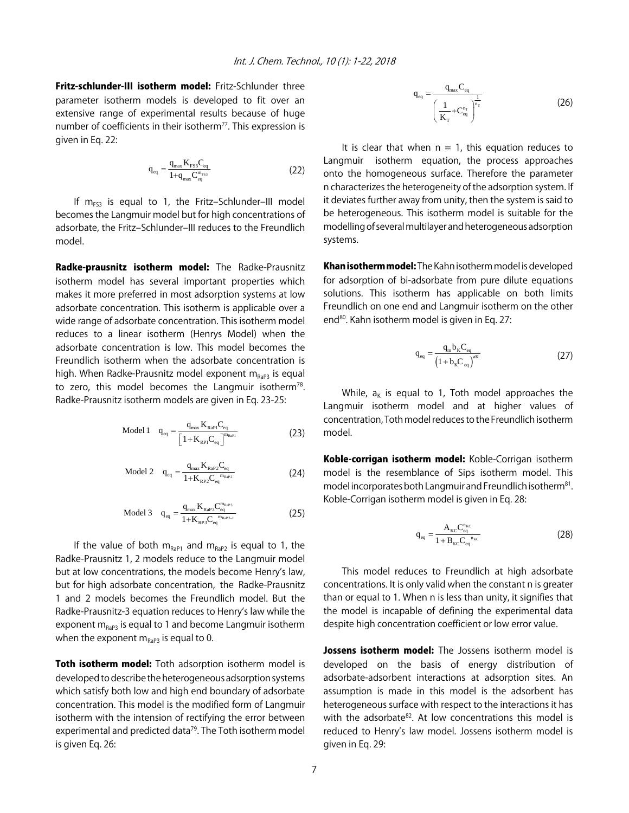Fritz-schlunder-III isotherm model: Fritz-Schlunder three parameter isotherm models is developed to fit over an extensive range of experimental results because of huge number of coefficients in their isotherm<sup>77</sup>. This expression is given in Eq. 22:

$$
q_{\text{eq}} = \frac{q_{\text{max}} K_{\text{FS3}} C_{\text{eq}}}{1 + q_{\text{max}} C_{\text{eq}}^{\text{m}_{\text{FS3}}}}
$$
(22)

If  $m_{FS3}$  is equal to 1, the Fritz-Schlunder-III model becomes the Langmuir model but for high concentrations of adsorbate, the Fritz-Schlunder-III reduces to the Freundlich model.

Radke-prausnitz isotherm model: The Radke-Prausnitz isotherm model has several important properties which makes it more preferred in most adsorption systems at low adsorbate concentration. This isotherm is applicable over a wide range of adsorbate concentration. This isotherm model reduces to a linear isotherm (Henrys Model) when the adsorbate concentration is low. This model becomes the Freundlich isotherm when the adsorbate concentration is high. When Radke-Prausnitz model exponent  $m_{\text{Rap3}}$  is equal to zero, this model becomes the Langmuir isotherm<sup>78</sup>. Radke-Prausnitz isotherm models are given in Eq. 23-25:

Model 1 
$$
q_{eq} = \frac{q_{max} K_{RaP1} C_{eq}}{\left[1 + K_{RP1} C_{eq}\right]^{m_{RaP1}}}
$$
 (23)

$$
\text{Model 2} \quad q_{\text{eq}} = \frac{q_{\text{max}} K_{\text{RaP2}} C_{\text{eq}}}{1 + K_{\text{RP2}} C_{\text{eq}}^{m_{\text{RaP2}}}} \tag{24}
$$

$$
\text{Model 3} \quad q_{eq} = \frac{q_{\text{max}} K_{\text{RaP3}} C_{eq}^{\text{m}_{\text{RaP3}}}}{1 + K_{\text{RP3}} C_{eq}^{\text{m}_{\text{RaP3}-1}}} \tag{25}
$$

If the value of both  $m_{RaP1}$  and  $m_{RaP2}$  is equal to 1, the Radke-Prausnitz 1, 2 models reduce to the Langmuir model but at low concentrations, the models become Henry's law, but for high adsorbate concentration, the Radke-Prausnitz 1 and 2 models becomes the Freundlich model. But the Radke-Prausnitz-3 equation reduces to Henry's law while the exponent  $m_{\text{RaP3}}$  is equal to 1 and become Langmuir isotherm when the exponent  $m_{Rap3}$  is equal to 0.

Toth isotherm model: Toth adsorption isotherm model is developed to describe the heterogeneous adsorption systems which satisfy both low and high end boundary of adsorbate concentration. This model is the modified form of Langmuir isotherm with the intension of rectifying the error between experimental and predicted data $79$ . The Toth isotherm model is given Eq. 26:

$$
q_{eq} = \frac{q_{max} C_{eq}}{\left(\frac{1}{K_T} + C_{eq}^{n_r}\right)^{\frac{1}{n_r}}}
$$
(26)

It is clear that when  $n = 1$ , this equation reduces to Langmuir isotherm equation, the process approaches onto the homogeneous surface. Therefore the parameter n characterizes the heterogeneity of the adsorption system. If it deviates further away from unity, then the system is said to be heterogeneous. This isotherm model is suitable for the modelling of several multilayer and heterogeneous adsorption systems.

Khan isotherm model: The Kahn isotherm model is developed for adsorption of bi-adsorbate from pure dilute equations solutions. This isotherm has applicable on both limits Freundlich on one end and Langmuir isotherm on the other end<sup>80</sup>. Kahn isotherm model is given in Eq. 27:

$$
q_{eq} = \frac{q_{m}b_{K}C_{eq}}{(1 + b_{K}C_{eq})^{aK}}
$$
 (27)

While,  $a_k$  is equal to 1, Toth model approaches the Langmuir isotherm model and at higher values of concentration, Toth model reduces to the Freundlich isotherm model.

Koble-corrigan isotherm model: Koble-Corrigan isotherm model is the resemblance of Sips isotherm model. This model incorporates both Langmuir and Freundlich isotherm<sup>81</sup>. Koble-Corrigan isotherm model is given in Eq. 28:

$$
q_{eq} = \frac{A_{\text{KC}} C_{eq}^{n_{\text{KC}}}}{1 + B_{\text{KC}} C_{eq}^{n_{\text{KC}}}}
$$
(28)

This model reduces to Freundlich at high adsorbate concentrations. It is only valid when the constant n is greater than or equal to 1. When n is less than unity, it signifies that the model is incapable of defining the experimental data despite high concentration coefficient or low error value.

Jossens isotherm model: The Jossens isotherm model is developed on the basis of energy distribution of adsorbate-adsorbent interactions at adsorption sites. An assumption is made in this model is the adsorbent has heterogeneous surface with respect to the interactions it has with the adsorbate<sup>82</sup>. At low concentrations this model is reduced to Henry's law model. Jossens isotherm model is given in Eq. 29: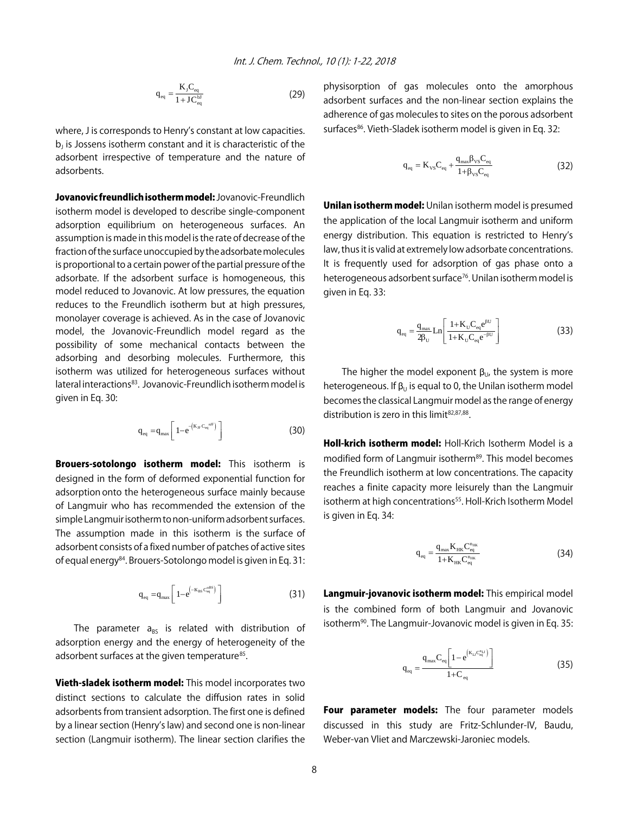$$
q_{eq} = \frac{K_{J}C_{eq}}{1 + JC_{eq}} \tag{29}
$$

where, J is corresponds to Henry's constant at low capacities.  $b<sub>1</sub>$  is Jossens isotherm constant and it is characteristic of the adsorbent irrespective of temperature and the nature of adsorbents.

Jovanovic freundlich isotherm model: Jovanovic-Freundlich isotherm model is developed to describe single-component adsorption equilibrium on heterogeneous surfaces. An assumption is made in this model is the rate of decrease of the fraction of the surface unoccupied by the adsorbate molecules is proportional to a certain power of the partial pressure of the adsorbate. If the adsorbent surface is homogeneous, this model reduced to Jovanovic. At low pressures, the equation reduces to the Freundlich isotherm but at high pressures, monolayer coverage is achieved. As in the case of Jovanovic model, the Jovanovic-Freundlich model regard as the possibility of some mechanical contacts between the adsorbing and desorbing molecules. Furthermore, this isotherm was utilized for heterogeneous surfaces without lateral interactions<sup>83</sup>. Jovanovic-Freundlich isotherm model is given in Eq. 30:

$$
q_{\rm eq} = q_{\rm max} \left[ 1 - e^{-(K_{\rm JF} C_{\rm eq}^{\rm nJF})} \right]
$$
 (30)

Brouers-sotolongo isotherm model: This isotherm is designed in the form of deformed exponential function for adsorption onto the heterogeneous surface mainly because of Langmuir who has recommended the extension of the simple Langmuir isotherm to non-uniform adsorbent surfaces. The assumption made in this isotherm is the surface of adsorbent consists of a fixed number of patches of active sites of equal energy<sup>84</sup>. Brouers-Sotolongo model is given in Eq. 31:

$$
q_{\text{eq}} = q_{\text{max}} \left[ 1 - e^{(-K_{\text{BS}} C_{\text{eq}}^{\text{obs}})} \right]
$$
 (31)

The parameter  $a_{BS}$  is related with distribution of adsorption energy and the energy of heterogeneity of the adsorbent surfaces at the given temperature<sup>85</sup>.

Vieth-sladek isotherm model: This model incorporates two distinct sections to calculate the diffusion rates in solid adsorbents from transient adsorption. The first one is defined by a linear section (Henry's law) and second one is non-linear section (Langmuir isotherm). The linear section clarifies the

physisorption of gas molecules onto the amorphous adsorbent surfaces and the non-linear section explains the adherence of gas molecules to sites on the porous adsorbent surfaces<sup>86</sup>. Vieth-Sladek isotherm model is given in Eq. 32:

$$
q_{eq} = K_{vs}C_{eq} + \frac{q_{max}\beta_{vs}C_{eq}}{1 + \beta_{vs}C_{eq}}
$$
\n(32)

Unilan isotherm model: Unilan isotherm model is presumed the application of the local Langmuir isotherm and uniform energy distribution. This equation is restricted to Henry's law, thus it is valid at extremely low adsorbate concentrations. It is frequently used for adsorption of gas phase onto a heterogeneous adsorbent surface<sup>76</sup>. Unilan isotherm model is given in Eq. 33:

$$
q_{\text{eq}} = \frac{q_{\text{max}}}{2\beta_{\text{U}}} \text{Ln} \left[ \frac{1 + K_{\text{U}} C_{\text{eq}} e^{\beta U}}{1 + K_{\text{U}} C_{\text{eq}} e^{-\beta U}} \right]
$$
(33)

The higher the model exponent  $\beta_{U}$ , the system is more heterogeneous. If  $\beta_{\text{U}}$  is equal to 0, the Unilan isotherm model becomes the classical Langmuir model as the range of energy distribution is zero in this limit $82,87,88$ .

Holl-krich isotherm model: Holl-Krich Isotherm Model is a modified form of Langmuir isotherm<sup>89</sup>. This model becomes the Freundlich isotherm at low concentrations. The capacity reaches a finite capacity more leisurely than the Langmuir isotherm at high concentrations<sup>55</sup>. Holl-Krich Isotherm Model is given in Eq. 34:

$$
q_{\rm eq} = \frac{q_{\rm max} K_{\rm HK} C_{\rm eq}^{n_{\rm HK}}}{1+K_{\rm HK} C_{\rm eq}^{n_{\rm HK}}}
$$
(34)

Langmuir-jovanovic isotherm model: This empirical model is the combined form of both Langmuir and Jovanovic isotherm<sup>90</sup>. The Langmuir-Jovanovic model is given in Eq. 35:

$$
q_{eq} = \frac{q_{max}C_{eq} \left[1 - e^{(K_{1J}C_{eq}^{n_{1J}})}\right]}{1 + C_{eq}}
$$
(35)

Four parameter models: The four parameter models discussed in this study are Fritz-Schlunder-IV, Baudu, Weber-van Vliet and Marczewski-Jaroniec models.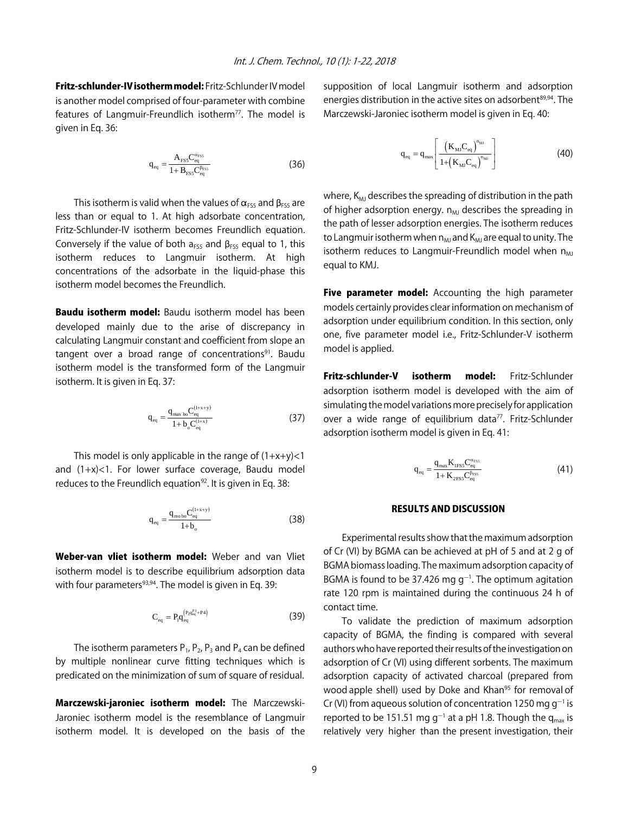Fritz-schlunder-IV isotherm model: Fritz-Schlunder IV model is another model comprised of four-parameter with combine features of Langmuir-Freundlich isotherm $77$ . The model is given in Eq. 36:

$$
q_{eq} = \frac{A_{\rm{FSS}} C_{eq}^{\alpha_{\rm{FSS}}}}{1 + B_{\rm{FSS}} C_{eq}^{\beta_{\rm{FSS}}}}
$$
(36)

This isotherm is valid when the values of  $\alpha_{FSS}$  and  $\beta_{FSS}$  are less than or equal to 1. At high adsorbate concentration, Fritz-Schlunder-IV isotherm becomes Freundlich equation. Conversely if the value of both  $a_{FS5}$  and  $\beta_{FS5}$  equal to 1, this isotherm reduces to Langmuir isotherm. At high concentrations of the adsorbate in the liquid-phase this isotherm model becomes the Freundlich.

**Baudu isotherm model:** Baudu isotherm model has been developed mainly due to the arise of discrepancy in calculating Langmuir constant and coefficient from slope an tangent over a broad range of concentrations<sup>91</sup>. Baudu isotherm model is the transformed form of the Langmuir isotherm. It is given in Eq. 37:

$$
q_{eq} = \frac{q_{max \text{ bo}} C_{eq}^{(1+x+y)}}{1 + b_o C_{eq}^{(1+x)}}
$$
(37)

This model is only applicable in the range of  $(1+x+y)$ <1 and (1+x)<1. For lower surface coverage, Baudu model reduces to the Freundlich equation<sup>92</sup>. It is given in Eq. 38:

$$
q_{eq} = \frac{q_{\text{mo bo}} C_{eq}^{(1+x+y)}}{1 + b_o}
$$
 (38)

Weber-van vliet isotherm model: Weber and van Vliet isotherm model is to describe equilibrium adsorption data with four parameters<sup>93,94</sup>. The model is given in Eq. 39:

$$
C_{eq} = P_1 q_{eq}^{\left(P_2 q_{eq}^{P_3} + P_4\right)} \tag{39}
$$

The isotherm parameters  $P_1$ ,  $P_2$ ,  $P_3$  and  $P_4$  can be defined by multiple nonlinear curve fitting techniques which is predicated on the minimization of sum of square of residual.

Marczewski-jaroniec isotherm model: The Marczewski-Jaroniec isotherm model is the resemblance of Langmuir isotherm model. It is developed on the basis of the supposition of local Langmuir isotherm and adsorption energies distribution in the active sites on adsorbent<sup>89,94</sup>. The Marczewski-Jaroniec isotherm model is given in Eq. 40:

$$
q_{eq} = q_{max} \left[ \frac{\left( K_{MJ} C_{eq} \right)^{n_{M}}}{1 + \left( K_{MJ} C_{eq} \right)^{n_{MJ}}} \right]
$$
(40)

where,  $K_{\text{MJ}}$  describes the spreading of distribution in the path of higher adsorption energy.  $n_{MJ}$  describes the spreading in the path of lesser adsorption energies. The isotherm reduces to Langmuir isotherm when  $n_{MJ}$  and  $K_{MJ}$  are equal to unity. The isotherm reduces to Langmuir-Freundlich model when  $n_{ML}$ equal to KMJ.

Five parameter model: Accounting the high parameter models certainly provides clear information on mechanism of adsorption under equilibrium condition. In this section, only one, five parameter model i.e., Fritz-Schlunder-V isotherm model is applied.

Fritz-schlunder-V isotherm model: Fritz-Schlunder adsorption isotherm model is developed with the aim of simulating the model variations more precisely for application over a wide range of equilibrium data<sup>77</sup>. Fritz-Schlunder adsorption isotherm model is given in Eq. 41:

$$
q_{\text{eq}} = \frac{q_{\text{max}} K_{\text{IFSS}} C_{\text{eq}}^{\alpha_{\text{FSS}}}}{1 + K_{\text{2FSS}} C_{\text{eq}}^{\beta_{\text{FSS}}}}
$$
(41)

#### RESULTS AND DISCUSSION

Experimental results show that the maximum adsorption of Cr (VI) by BGMA can be achieved at pH of 5 and at 2 g of BGMA biomass loading. The maximum adsorption capacity of BGMA is found to be 37.426 mg  $g^{-1}$ . The optimum agitation rate 120 rpm is maintained during the continuous 24 h of contact time.

To validate the prediction of maximum adsorption capacity of BGMA, the finding is compared with several authors who have reported their results of the investigation on adsorption of Cr (VI) using different sorbents. The maximum adsorption capacity of activated charcoal (prepared from wood apple shell) used by Doke and Khan<sup>95</sup> for removal of Cr (VI) from aqueous solution of concentration 1250 mg g<sup>-1</sup> is reported to be 151.51 mg g<sup>-1</sup> at a pH 1.8. Though the q<sub>max</sub> is relatively very higher than the present investigation, their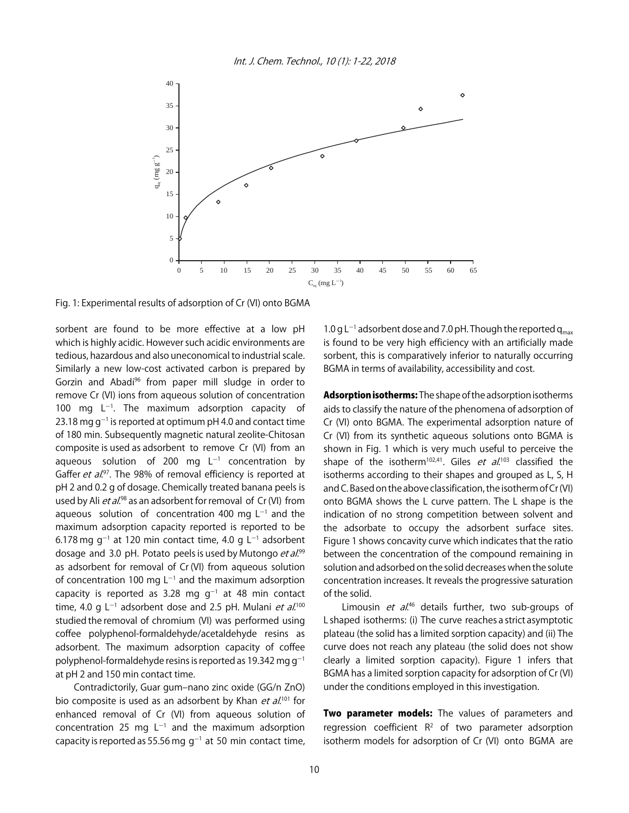

Fig. 1: Experimental results of adsorption of Cr (VI) onto BGMA

sorbent are found to be more effective at a low pH which is highly acidic. However such acidic environments are tedious, hazardous and also uneconomical to industrial scale. Similarly a new low-cost activated carbon is prepared by Gorzin and Abadi<sup>96</sup> from paper mill sludge in order to remove Cr (VI) ions from aqueous solution of concentration 100 mg  $L^{-1}$ . The maximum adsorption capacity of 23.18 mg g<sup>-1</sup> is reported at optimum pH 4.0 and contact time of 180 min. Subsequently magnetic natural zeolite-Chitosan composite is used as adsorbent to remove Cr (VI) from an aqueous solution of 200 mg  $L^{-1}$  concentration by Gaffer et al.<sup>97</sup>. The 98% of removal efficiency is reported at pH 2 and 0.2 g of dosage. Chemically treated banana peels is used by Ali et al.<sup>98</sup> as an adsorbent for removal of Cr (VI) from aqueous solution of concentration 400 mg  $L^{-1}$  and the maximum adsorption capacity reported is reported to be 6.178 mg g<sup>-1</sup> at 120 min contact time, 4.0 g L<sup>-1</sup> adsorbent dosage and 3.0 pH. Potato peels is used by Mutongo et al.99 as adsorbent for removal of Cr (VI) from aqueous solution of concentration 100 mg  $L^{-1}$  and the maximum adsorption capacity is reported as 3.28 mg  $g^{-1}$  at 48 min contact time, 4.0 g L<sup>-1</sup> adsorbent dose and 2.5 pH. Mulani *et al.*<sup>100</sup> studied the removal of chromium (VI) was performed using coffee polyphenol-formaldehyde/acetaldehyde resins as adsorbent. The maximum adsorption capacity of coffee polyphenol-formaldehyde resins is reported as 19.342 mg  $q^{-1}$ at pH 2 and 150 min contact time.

Contradictorily, Guar gum-nano zinc oxide (GG/n ZnO) bio composite is used as an adsorbent by Khan et  $al^{101}$  for enhanced removal of Cr (VI) from aqueous solution of concentration 25 mg  $L^{-1}$  and the maximum adsorption capacity is reported as 55.56 mg  $g^{-1}$  at 50 min contact time,

1.0 g L<sup>-1</sup> adsorbent dose and 7.0 pH. Though the reported  $q_{max}$ is found to be very high efficiency with an artificially made sorbent, this is comparatively inferior to naturally occurring BGMA in terms of availability, accessibility and cost.

Adsorption isotherms: The shape of the adsorption isotherms aids to classify the nature of the phenomena of adsorption of Cr (VI) onto BGMA. The experimental adsorption nature of Cr (VI) from its synthetic aqueous solutions onto BGMA is shown in Fig. 1 which is very much useful to perceive the shape of the isotherm<sup>102,41</sup>. Giles *et al*.<sup>103</sup> classified the isotherms according to their shapes and grouped as L, S, H and C. Based on the above classification, the isotherm of Cr (VI) onto BGMA shows the L curve pattern. The L shape is the indication of no strong competition between solvent and the adsorbate to occupy the adsorbent surface sites. Figure 1 shows concavity curve which indicates that the ratio between the concentration of the compound remaining in solution and adsorbed on the solid decreases when the solute concentration increases. It reveals the progressive saturation of the solid.

Limousin *et al.*<sup>46</sup> details further, two sub-groups of L shaped isotherms: (i) The curve reaches a strict asymptotic plateau (the solid has a limited sorption capacity) and (ii) The curve does not reach any plateau (the solid does not show clearly a limited sorption capacity). Figure 1 infers that BGMA has a limited sorption capacity for adsorption of Cr (VI) under the conditions employed in this investigation.

Two parameter models: The values of parameters and regression coefficient  $R^2$  of two parameter adsorption isotherm models for adsorption of Cr (VI) onto BGMA are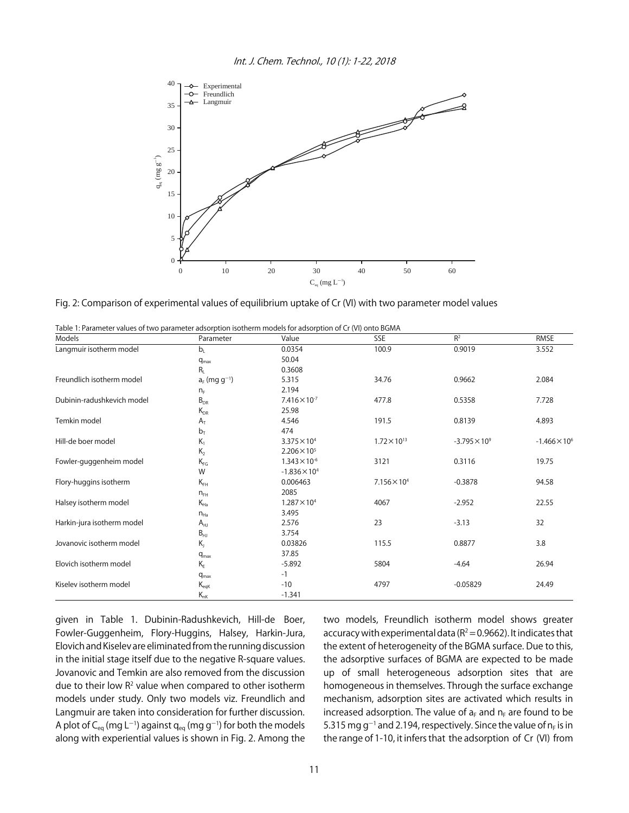

Fig. 2: Comparison of experimental values of equilibrium uptake of Cr (VI) with two parameter model values

| Models                     | Parameter                   | Value                  | SSE                   | R <sup>2</sup>       | RMSE                   |
|----------------------------|-----------------------------|------------------------|-----------------------|----------------------|------------------------|
| Langmuir isotherm model    | b <sub>1</sub>              | 0.0354                 | 100.9                 | 0.9019               | 3.552                  |
|                            | $q_{max}$                   | 50.04                  |                       |                      |                        |
|                            | $R_{I}$                     | 0.3608                 |                       |                      |                        |
| Freundlich isotherm model  | $a_F$ (mg g <sup>-1</sup> ) | 5.315                  | 34.76                 | 0.9662               | 2.084                  |
|                            | $n_F$                       | 2.194                  |                       |                      |                        |
| Dubinin-radushkevich model | $B_{DR}$                    | $7.416 \times 10^{-7}$ | 477.8                 | 0.5358               | 7.728                  |
|                            | $K_{DR}$                    | 25.98                  |                       |                      |                        |
| Temkin model               | $A_T$                       | 4.546                  | 191.5                 | 0.8139               | 4.893                  |
|                            | $b_T$                       | 474                    |                       |                      |                        |
| Hill-de boer model         | $K_1$                       | $3.375 \times 10^{4}$  | $1.72 \times 10^{13}$ | $-3.795 \times 10^9$ | $-1.466 \times 10^{6}$ |
|                            | $K_{2}$                     | $2.206 \times 10^{5}$  |                       |                      |                        |
| Fowler-guggenheim model    | $K_{FG}$                    | $1.343 \times 10^{-6}$ | 3121                  | 0.3116               | 19.75                  |
|                            | W                           | $-1.836 \times 10^{4}$ |                       |                      |                        |
| Flory-huggins isotherm     | $K_{FH}$                    | 0.006463               | $7.156 \times 10^{4}$ | $-0.3878$            | 94.58                  |
|                            | $n_{FH}$                    | 2085                   |                       |                      |                        |
| Halsey isotherm model      | $K_{Ha}$                    | $1.287 \times 10^{4}$  | 4067                  | $-2.952$             | 22.55                  |
|                            | $n_{Ha}$                    | 3.495                  |                       |                      |                        |
| Harkin-jura isotherm model | $A_{HJ}$                    | 2.576                  | 23                    | $-3.13$              | 32                     |
|                            | $B_{HJ}$                    | 3.754                  |                       |                      |                        |
| Jovanovic isotherm model   | $K_{I}$                     | 0.03826                | 115.5                 | 0.8877               | 3.8                    |
|                            | $q_{\text{max}}$            | 37.85                  |                       |                      |                        |
| Elovich isotherm model     | $K_F$                       | $-5.892$               | 5804                  | $-4.64$              | 26.94                  |
|                            | $q_{max}$                   | $-1$                   |                       |                      |                        |
| Kiselev isotherm model     | $\mathsf{K}_{\mathsf{eqK}}$ | $-10$                  | 4797                  | $-0.05829$           | 24.49                  |
|                            | $K_{nk}$                    | $-1.341$               |                       |                      |                        |

Table 1: Parameter values of two parameter adsorption isotherm models for adsorption of Cr (VI) onto BGMA

given in Table 1. Dubinin-Radushkevich, Hill-de Boer, Fowler-Guggenheim, Flory-Huggins, Halsey, Harkin-Jura, Elovich and Kiselev are eliminated from the running discussion in the initial stage itself due to the negative R-square values. Jovanovic and Temkin are also removed from the discussion due to their low  $R^2$  value when compared to other isotherm models under study. Only two models viz. Freundlich and Langmuir are taken into consideration for further discussion. A plot of C<sub>eq</sub> (mg L<sup>-1</sup>) against q<sub>eq</sub> (mg g<sup>-1</sup>) for both the models along with experiential values is shown in Fig. 2. Among the two models, Freundlich isotherm model shows greater accuracy with experimental data ( $R^2$  = 0.9662). It indicates that the extent of heterogeneity of the BGMA surface. Due to this, the adsorptive surfaces of BGMA are expected to be made up of small heterogeneous adsorption sites that are homogeneous in themselves. Through the surface exchange mechanism, adsorption sites are activated which results in increased adsorption. The value of  $a_F$  and  $n_F$  are found to be 5.315 mg g<sup>-1</sup> and 2.194, respectively. Since the value of  $n_F$  is in the range of 1-10, it infers that the adsorption of Cr (VI) from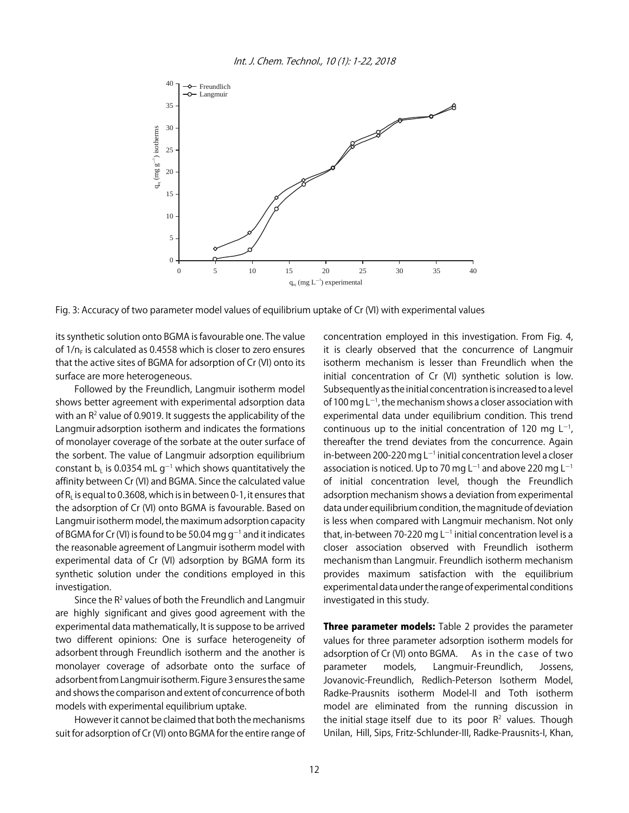

Fig. 3: Accuracy of two parameter model values of equilibrium uptake of Cr (VI) with experimental values

its synthetic solution onto BGMA is favourable one. The value of  $1/n_F$  is calculated as 0.4558 which is closer to zero ensures that the active sites of BGMA for adsorption of Cr (VI) onto its surface are more heterogeneous.

Followed by the Freundlich, Langmuir isotherm model shows better agreement with experimental adsorption data with an  $R<sup>2</sup>$  value of 0.9019. It suggests the applicability of the Langmuir adsorption isotherm and indicates the formations of monolayer coverage of the sorbate at the outer surface of the sorbent. The value of Langmuir adsorption equilibrium constant  $\mathsf{b}_\mathsf{L}$  is 0.0354 mL g $^{-1}$  which shows quantitatively the affinity between Cr (VI) and BGMA. Since the calculated value of  $R<sub>i</sub>$  is equal to 0.3608, which is in between 0-1, it ensures that the adsorption of Cr (VI) onto BGMA is favourable. Based on Langmuir isotherm model, the maximum adsorption capacity of BGMA for Cr (VI) is found to be 50.04 mg g<sup>-1</sup> and it indicates the reasonable agreement of Langmuir isotherm model with experimental data of Cr (VI) adsorption by BGMA form its synthetic solution under the conditions employed in this investigation.

Since the R<sup>2</sup> values of both the Freundlich and Langmuir are highly significant and gives good agreement with the experimental data mathematically, It is suppose to be arrived two different opinions: One is surface heterogeneity of adsorbent through Freundlich isotherm and the another is monolayer coverage of adsorbate onto the surface of adsorbent from Langmuir isotherm. Figure 3 ensures the same and shows the comparison and extent of concurrence of both models with experimental equilibrium uptake.

However it cannot be claimed that both the mechanisms suit for adsorption of Cr (VI) onto BGMA for the entire range of concentration employed in this investigation. From Fig. 4, it is clearly observed that the concurrence of Langmuir isotherm mechanism is lesser than Freundlich when the initial concentration of Cr (VI) synthetic solution is low. Subsequently as the initial concentration is increased to a level of 100 mg  $L^{-1}$ , the mechanism shows a closer association with experimental data under equilibrium condition. This trend continuous up to the initial concentration of 120 mg  $L^{-1}$ , thereafter the trend deviates from the concurrence. Again in-between 200-220 mg L $^{-1}$  initial concentration level a closer association is noticed. Up to 70 mg L<sup>-1</sup> and above 220 mg L<sup>-1</sup> of initial concentration level, though the Freundlich adsorption mechanism shows a deviation from experimental data under equilibrium condition, the magnitude of deviation is less when compared with Langmuir mechanism. Not only that, in-between 70-220 mg L<sup>-1</sup> initial concentration level is a closer association observed with Freundlich isotherm mechanism than Langmuir. Freundlich isotherm mechanism provides maximum satisfaction with the equilibrium experimental data under the range of experimental conditions investigated in this study.

Three parameter models: Table 2 provides the parameter values for three parameter adsorption isotherm models for adsorption of Cr (VI) onto BGMA. As in the case of two parameter models, Langmuir-Freundlich, Jossens, Jovanovic-Freundlich, Redlich-Peterson Isotherm Model, Radke-Prausnits isotherm Model-II and Toth isotherm model are eliminated from the running discussion in the initial stage itself due to its poor  $R<sup>2</sup>$  values. Though Unilan, Hill, Sips, Fritz-Schlunder-III, Radke-Prausnits-I, Khan,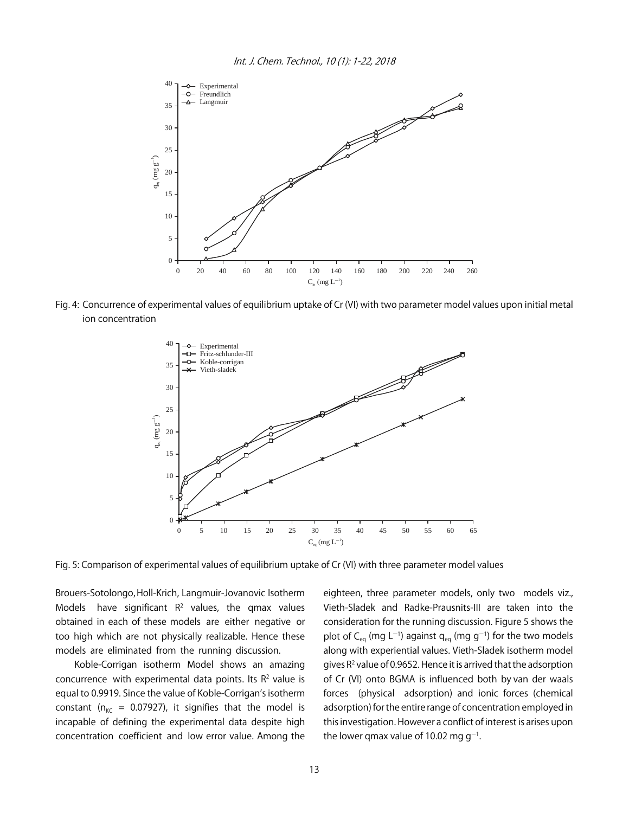

Fig. 4: Concurrence of experimental values of equilibrium uptake of Cr (VI) with two parameter model values upon initial metal ion concentration



Fig. 5: Comparison of experimental values of equilibrium uptake of Cr (VI) with three parameter model values

Brouers-Sotolongo, Holl-Krich, Langmuir-Jovanovic Isotherm Models have significant  $R^2$  values, the qmax values obtained in each of these models are either negative or too high which are not physically realizable. Hence these models are eliminated from the running discussion.

Koble-Corrigan isotherm Model shows an amazing concurrence with experimental data points. Its  $R<sup>2</sup>$  value is equal to 0.9919. Since the value of Koble-Corrigan's isotherm constant ( $n_{\text{KC}}$  = 0.07927), it signifies that the model is incapable of defining the experimental data despite high concentration coefficient and low error value. Among the eighteen, three parameter models, only two models viz., Vieth-Sladek and Radke-Prausnits-III are taken into the consideration for the running discussion. Figure 5 shows the plot of C<sub>eq</sub> (mg L<sup>-1</sup>) against q<sub>eq</sub> (mg g<sup>-1</sup>) for the two models along with experiential values. Vieth-Sladek isotherm model gives  $R^2$  value of 0.9652. Hence it is arrived that the adsorption of Cr (VI) onto BGMA is influenced both by van der waals forces (physical adsorption) and ionic forces (chemical adsorption) for the entire range of concentration employed in this investigation. However a conflict of interest is arises upon the lower qmax value of 10.02 mg g $^{\rm -1}.$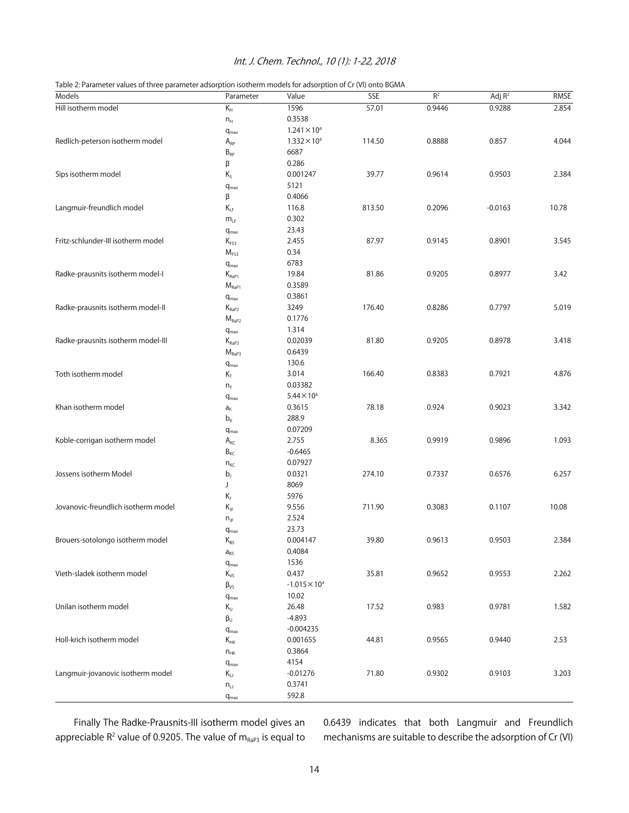#### Int. J. Chem. Technol., 10 (1): 1-22, 2018

|  | Table 2: Parameter values of three parameter adsorption isotherm models for adsorption of Cr (VI) onto BGMA |
|--|-------------------------------------------------------------------------------------------------------------|
|  |                                                                                                             |

| Models                              | Parameter                 | Value                  | <b>SSE</b> | R <sup>2</sup> | Adj $R^2$ | <b>RMSE</b> |
|-------------------------------------|---------------------------|------------------------|------------|----------------|-----------|-------------|
| Hill isotherm model                 | $K_H$                     | 1596                   | 57.01      | 0.9446         | 0.9288    | 2.854       |
|                                     | ${\sf n}_{\sf H}$         | 0.3538                 |            |                |           |             |
|                                     | $q_{max}$                 | $1.241 \times 10^{4}$  |            |                |           |             |
| Redlich-peterson isotherm model     | $A_{RP}$                  | $1.332 \times 10^{4}$  | 114.50     | 0.8888         | 0.857     | 4.044       |
|                                     | $B_{\mathsf{RP}}$         | 6687                   |            |                |           |             |
|                                     | β                         | 0.286                  |            |                |           |             |
| Sips isotherm model                 | $\mathsf{K}_{\mathsf{S}}$ | 0.001247               | 39.77      | 0.9614         | 0.9503    | 2.384       |
|                                     | $q_{max}$                 | 5121                   |            |                |           |             |
|                                     | β                         | 0.4066                 |            |                |           |             |
| Langmuir-freundlich model           | $K_{LF}$                  | 116.8                  | 813.50     | 0.2096         | $-0.0163$ | 10.78       |
|                                     | $m_{LF}$                  | 0.302                  |            |                |           |             |
|                                     |                           | 23.43                  |            |                |           |             |
| Fritz-schlunder-III isotherm model  | $q_{max}$<br>$K_{FS3}$    | 2.455                  | 87.97      | 0.9145         | 0.8901    | 3.545       |
|                                     |                           | 0.34                   |            |                |           |             |
|                                     | M <sub>FS3</sub>          | 6783                   |            |                |           |             |
|                                     | $q_{max}$                 |                        | 81.86      | 0.9205         | 0.8977    | 3.42        |
| Radke-prausnits isotherm model-I    | $K_{\text{RaP1}}$         | 19.84                  |            |                |           |             |
|                                     | $M_{\text{RaP1}}$         | 0.3589                 |            |                |           |             |
|                                     | $q_{max}$                 | 0.3861                 |            |                |           |             |
| Radke-prausnits isotherm model-II   | $K_{\text{RaP2}}$         | 3249                   | 176.40     | 0.8286         | 0.7797    | 5.019       |
|                                     | $M_{RaP2}$                | 0.1776                 |            |                |           |             |
|                                     | $q_{\text{max}}$          | 1.314                  |            |                |           |             |
| Radke-prausnits isotherm model-III  | $K_{\text{RaP3}}$         | 0.02039                | 81.80      | 0.9205         | 0.8978    | 3.418       |
|                                     | $M_{\tiny\mbox{RaP3}}$    | 0.6439                 |            |                |           |             |
|                                     | $q_{max}$                 | 130.6                  |            |                |           |             |
| Toth isotherm model                 | $\mathsf{K}_\mathsf{T}$   | 3.014                  | 166.40     | 0.8383         | 0.7921    | 4.876       |
|                                     | $n_T$                     | 0.03382                |            |                |           |             |
|                                     | $q_{max}$                 | $5.44 \times 10^{4}$   |            |                |           |             |
| Khan isotherm model                 | $\mathsf{a}_{\mathsf{K}}$ | 0.3615                 | 78.18      | 0.924          | 0.9023    | 3.342       |
|                                     | $b_{K}$                   | 288.9                  |            |                |           |             |
|                                     | $q_{max}$                 | 0.07209                |            |                |           |             |
| Koble-corrigan isotherm model       | $A_{\text{KC}}$           | 2.755                  | 8.365      | 0.9919         | 0.9896    | 1.093       |
|                                     | $B_{\text{KC}}$           | $-0.6465$              |            |                |           |             |
|                                     | $n_{\text{KC}}$           | 0.07927                |            |                |           |             |
| Jossens isotherm Model              | $b_{j}$                   | 0.0321                 | 274.10     | 0.7337         | 0.6576    | 6.257       |
|                                     | J                         | 8069                   |            |                |           |             |
|                                     | $\mathsf{K}_\mathsf{J}$   | 5976                   |            |                |           |             |
| Jovanovic-freundlich isotherm model | $K_{\text{JF}}$           | 9.556                  | 711.90     | 0.3083         | 0.1107    | 10.08       |
|                                     | $n_{\text{JF}}$           | 2.524                  |            |                |           |             |
|                                     | $q_{max}$                 | 23.73                  |            |                |           |             |
| Brouers-sotolongo isotherm model    | $K_{BS}$                  | 0.004147               | 39.80      | 0.9613         | 0.9503    | 2.384       |
|                                     | $a_{BS}$                  | 0.4084                 |            |                |           |             |
|                                     | $q_{max}$                 | 1536                   |            |                |           |             |
| Vieth-sladek isotherm model         | $\rm K_{VS}$              | 0.437                  | 35.81      | 0.9652         | 0.9553    | 2.262       |
|                                     | $\beta_{VS}$              | $-1.015 \times 10^{4}$ |            |                |           |             |
|                                     | $q_{max}$                 | 10.02                  |            |                |           |             |
| Unilan isotherm model               | $K_U$                     | 26.48                  | 17.52      | 0.983          | 0.9781    | 1.582       |
|                                     | $\beta_U$                 | $-4.893$               |            |                |           |             |
|                                     |                           | $-0.004235$            |            |                |           |             |
| Holl-krich isotherm model           | $q_{max}$<br>$K_{HK}$     | 0.001655               | 44.81      | 0.9565         | 0.9440    | 2.53        |
|                                     |                           | 0.3864                 |            |                |           |             |
|                                     | $n_{HK}$                  | 4154                   |            |                |           |             |
| Langmuir-jovanovic isotherm model   | $q_{\text{max}}$          |                        |            |                |           |             |
|                                     | $K_{LJ}$                  | $-0.01276$             | 71.80      | 0.9302         | 0.9103    | 3.203       |
|                                     | $n_{\text{L}}$            | 0.3741                 |            |                |           |             |
|                                     | $q_{max}$                 | 592.8                  |            |                |           |             |

Finally The Radke-Prausnits-III isotherm model gives an appreciable  $R^2$  value of 0.9205. The value of  $m_{Rap3}$  is equal to

0.6439 indicates that both Langmuir and Freundlich mechanisms are suitable to describe the adsorption of Cr (VI)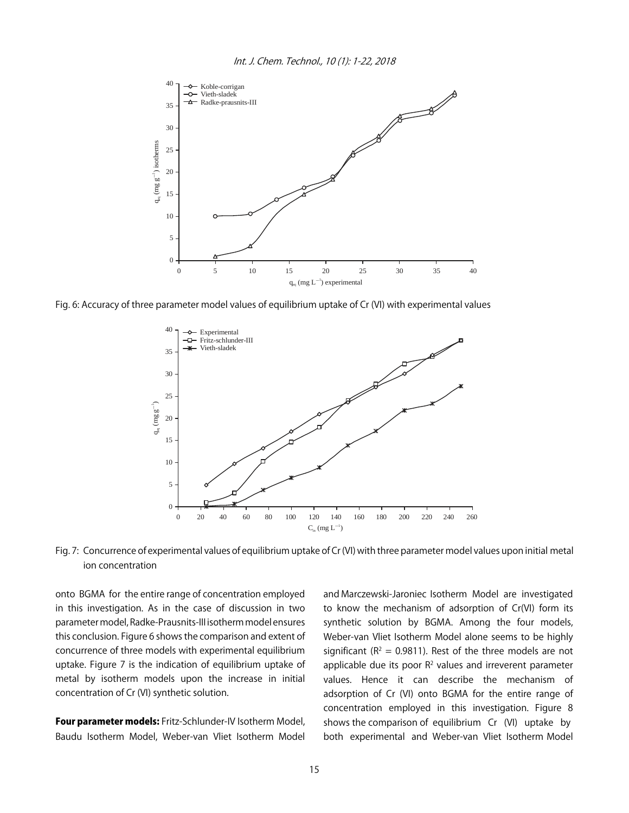

Fig. 6: Accuracy of three parameter model values of equilibrium uptake of Cr (VI) with experimental values



Fig. 7: Concurrence of experimental values of equilibrium uptake of Cr (VI) with three parameter model values upon initial metal ion concentration

onto BGMA for the entire range of concentration employed in this investigation. As in the case of discussion in two parameter model, Radke-Prausnits-III isotherm model ensures this conclusion. Figure 6 shows the comparison and extent of concurrence of three models with experimental equilibrium uptake. Figure 7 is the indication of equilibrium uptake of metal by isotherm models upon the increase in initial concentration of Cr (VI) synthetic solution.

Four parameter models: Fritz-Schlunder-IV Isotherm Model, Baudu Isotherm Model, Weber-van Vliet Isotherm Model and Marczewski-Jaroniec Isotherm Model are investigated to know the mechanism of adsorption of Cr(VI) form its synthetic solution by BGMA. Among the four models, Weber-van Vliet Isotherm Model alone seems to be highly significant ( $R^2 = 0.9811$ ). Rest of the three models are not applicable due its poor  $R^2$  values and irreverent parameter values. Hence it can describe the mechanism of adsorption of Cr (VI) onto BGMA for the entire range of concentration employed in this investigation. Figure 8 shows the comparison of equilibrium Cr (VI) uptake by both experimental and Weber-van Vliet Isotherm Model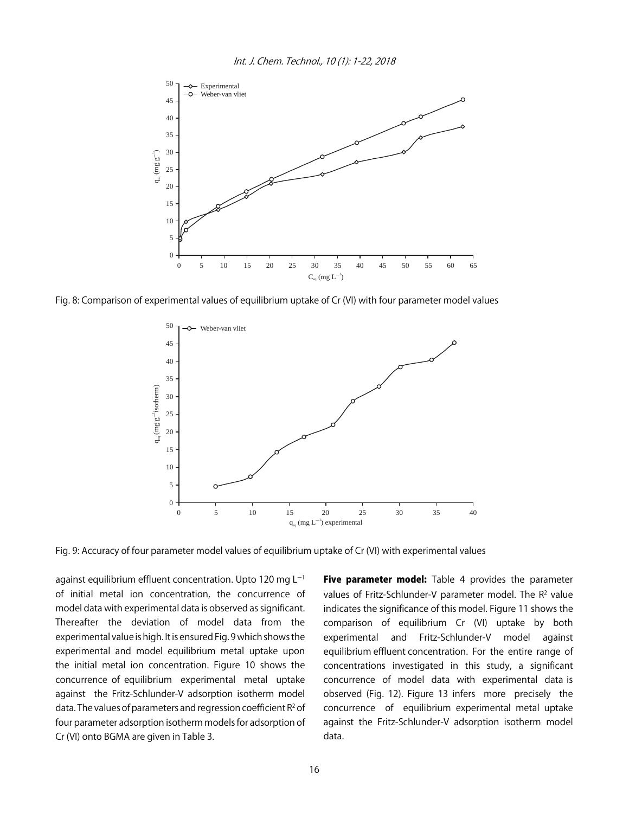

Fig. 8: Comparison of experimental values of equilibrium uptake of Cr (VI) with four parameter model values



Fig. 9: Accuracy of four parameter model values of equilibrium uptake of Cr (VI) with experimental values

against equilibrium effluent concentration. Upto 120 mg  $L^{-1}$ of initial metal ion concentration, the concurrence of model data with experimental data is observed as significant. Thereafter the deviation of model data from the experimental value is high. It is ensured Fig. 9 which shows the experimental and model equilibrium metal uptake upon the initial metal ion concentration. Figure 10 shows the concurrence of equilibrium experimental metal uptake against the Fritz-Schlunder-V adsorption isotherm model data. The values of parameters and regression coefficient  $R^2$  of four parameter adsorption isotherm models for adsorption of Cr (VI) onto BGMA are given in Table 3.

Five parameter model: Table 4 provides the parameter values of Fritz-Schlunder-V parameter model. The R<sup>2</sup> value indicates the significance of this model. Figure 11 shows the comparison of equilibrium Cr (VI) uptake by both experimental and Fritz-Schlunder-V model against equilibrium effluent concentration. For the entire range of concentrations investigated in this study, a significant concurrence of model data with experimental data is observed (Fig. 12). Figure 13 infers more precisely the concurrence of equilibrium experimental metal uptake against the Fritz-Schlunder-V adsorption isotherm model data.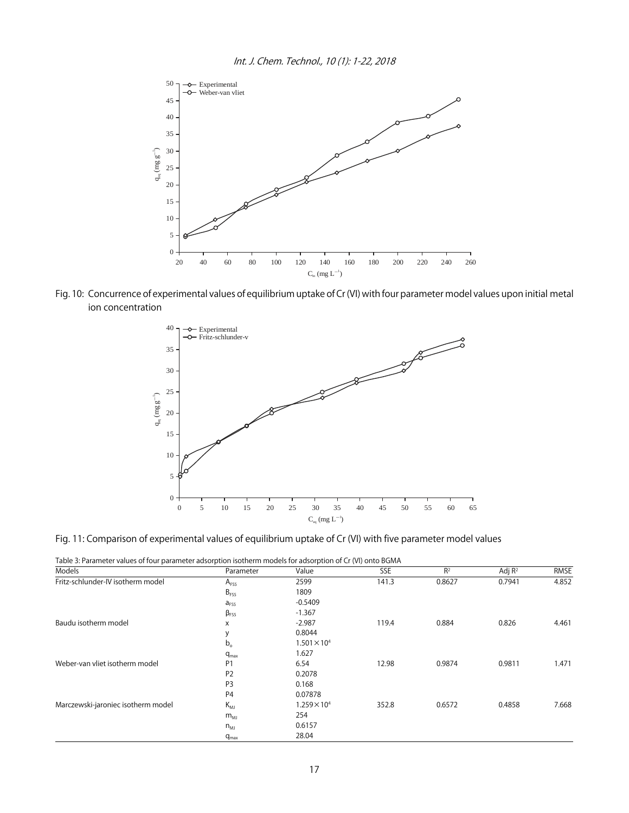

Fig. 10: Concurrence of experimental values of equilibrium uptake of Cr (VI) with four parameter model values upon initial metal ion concentration



Fig. 11: Comparison of experimental values of equilibrium uptake of Cr (VI) with five parameter model values

|  | Table 3: Parameter values of four parameter adsorption isotherm models for adsorption of Cr (VI) onto BGMA |  |  |  |  |
|--|------------------------------------------------------------------------------------------------------------|--|--|--|--|
|--|------------------------------------------------------------------------------------------------------------|--|--|--|--|

| Models                             | Parameter        | Value                 | SSE   | R <sup>2</sup> | Adj $R^2$ | RMSE  |
|------------------------------------|------------------|-----------------------|-------|----------------|-----------|-------|
| Fritz-schlunder-IV isotherm model  | $A_{FSS}$        | 2599                  | 141.3 | 0.8627         | 0.7941    | 4.852 |
|                                    | $B_{FS5}$        | 1809                  |       |                |           |       |
|                                    | $a_{FS5}$        | $-0.5409$             |       |                |           |       |
|                                    | $\beta_{FS5}$    | $-1.367$              |       |                |           |       |
| Baudu isotherm model               | X                | $-2.987$              | 119.4 | 0.884          | 0.826     | 4.461 |
|                                    | у                | 0.8044                |       |                |           |       |
| Weber-van vliet isotherm model     | $b_{\circ}$      | $1.501 \times 10^{4}$ |       |                |           |       |
|                                    | $q_{max}$        | 1.627                 |       |                |           |       |
|                                    | P <sub>1</sub>   | 6.54                  | 12.98 | 0.9874         | 0.9811    | 1.471 |
|                                    | P <sub>2</sub>   | 0.2078                |       |                |           |       |
|                                    | P <sub>3</sub>   | 0.168                 |       |                |           |       |
|                                    | P <sub>4</sub>   | 0.07878               |       |                |           |       |
| Marczewski-jaroniec isotherm model | $K_{M1}$         | $1.259 \times 10^{4}$ | 352.8 | 0.6572         | 0.4858    | 7.668 |
|                                    | $m_{\rm MJ}$     | 254                   |       |                |           |       |
|                                    | $n_{\text{MJ}}$  | 0.6157                |       |                |           |       |
|                                    | $q_{\text{max}}$ | 28.04                 |       |                |           |       |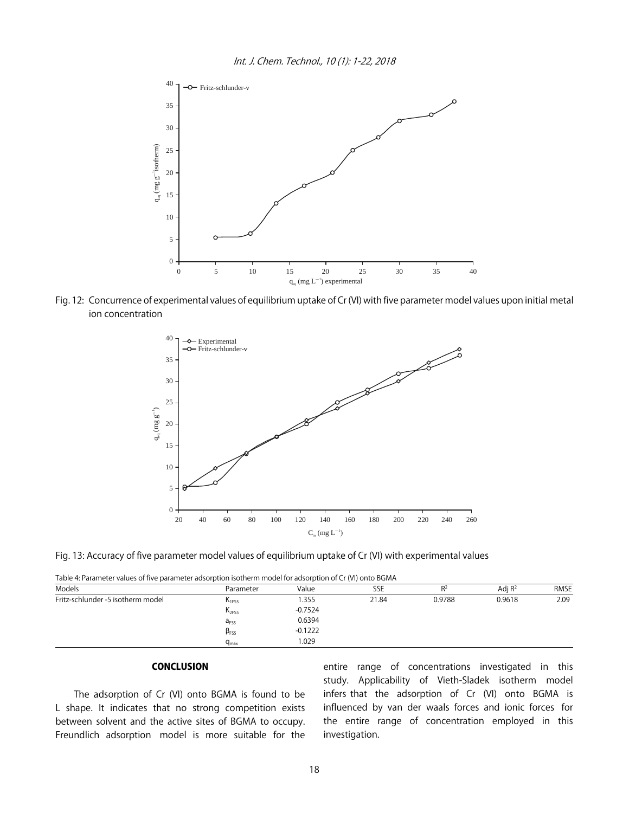

Fig. 12: Concurrence of experimental values of equilibrium uptake of Cr (VI) with five parameter model values upon initial metal ion concentration



Fig. 13: Accuracy of five parameter model values of equilibrium uptake of Cr (VI) with experimental values

| Table 4: Parameter values of five parameter adsorption isotherm model for adsorption of Cr (VI) onto BGMA |  |  |
|-----------------------------------------------------------------------------------------------------------|--|--|
|                                                                                                           |  |  |

| Models                            | Parameter              | Value     | SSE   | R2     | Adj $R^2$ | <b>RMSE</b> |
|-----------------------------------|------------------------|-----------|-------|--------|-----------|-------------|
| Fritz-schlunder -5 isotherm model | N <sub>1FS5</sub>      | 355،      | 21.84 | 0.9788 | 0.9618    | 2.09        |
|                                   | $K_{2FS5}$             | $-0.7524$ |       |        |           |             |
|                                   | a <sub>FS5</sub>       | 0.6394    |       |        |           |             |
|                                   | $\beta$ <sub>FS5</sub> | $-0.1222$ |       |        |           |             |
|                                   | $q_{\text{max}}$       | .029      |       |        |           |             |

#### CONCLUSION

The adsorption of Cr (VI) onto BGMA is found to be L shape. It indicates that no strong competition exists between solvent and the active sites of BGMA to occupy. Freundlich adsorption model is more suitable for the

entire range of concentrations investigated in this study. Applicability of Vieth-Sladek isotherm model infers that the adsorption of Cr (VI) onto BGMA is influenced by van der waals forces and ionic forces for the entire range of concentration employed in this investigation.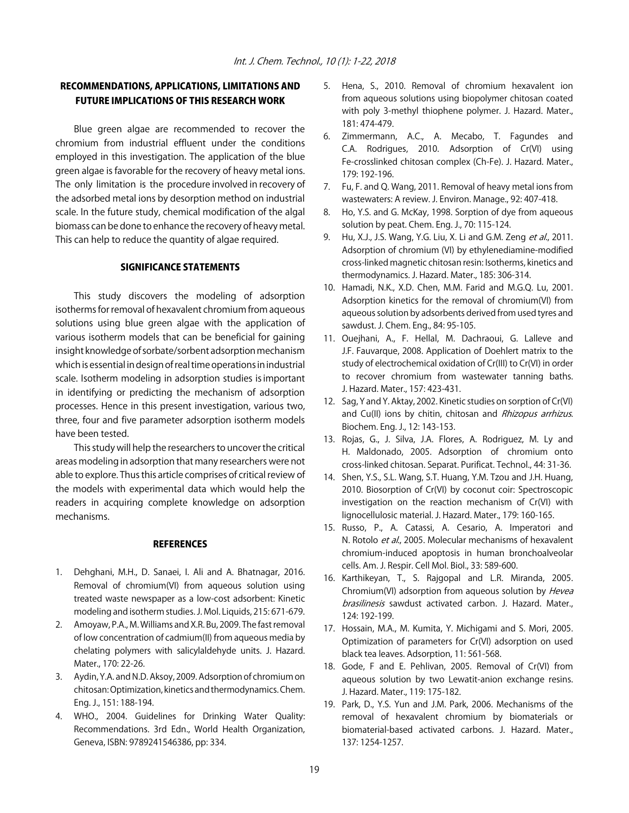#### RECOMMENDATIONS, APPLICATIONS, LIMITATIONS AND FUTURE IMPLICATIONS OF THIS RESEARCH WORK

Blue green algae are recommended to recover the chromium from industrial effluent under the conditions employed in this investigation. The application of the blue green algae is favorable for the recovery of heavy metal ions. The only limitation is the procedure involved in recovery of the adsorbed metal ions by desorption method on industrial scale. In the future study, chemical modification of the algal biomass can be done to enhance the recovery of heavy metal. This can help to reduce the quantity of algae required.

#### SIGNIFICANCE STATEMENTS

This study discovers the modeling of adsorption isotherms for removal of hexavalent chromium from aqueous solutions using blue green algae with the application of various isotherm models that can be beneficial for gaining insight knowledge of sorbate/sorbent adsorption mechanism which is essential in design of real time operations in industrial scale. Isotherm modeling in adsorption studies is important in identifying or predicting the mechanism of adsorption processes. Hence in this present investigation, various two, three, four and five parameter adsorption isotherm models have been tested.

This study will help the researchers to uncover the critical areas modeling in adsorption that many researchers were not able to explore. Thus this article comprises of critical review of the models with experimental data which would help the readers in acquiring complete knowledge on adsorption mechanisms.

#### **REFERENCES**

- 1. Dehghani, M.H., D. Sanaei, I. Ali and A. Bhatnagar, 2016. Removal of chromium(VI) from aqueous solution using treated waste newspaper as a low-cost adsorbent: Kinetic modeling and isotherm studies. J. Mol. Liquids, 215: 671-679.
- 2. Amoyaw, P.A., M. Williams and X.R. Bu, 2009. The fast removal of low concentration of cadmium(II) from aqueous media by chelating polymers with salicylaldehyde units. J. Hazard. Mater., 170: 22-26.
- 3. Aydin, Y.A. and N.D. Aksoy, 2009. Adsorption of chromium on chitosan: Optimization, kinetics and thermodynamics. Chem. Eng. J., 151: 188-194.
- 4. WHO., 2004. Guidelines for Drinking Water Quality: Recommendations. 3rd Edn., World Health Organization, Geneva, ISBN: 9789241546386, pp: 334.
- 5. Hena, S., 2010. Removal of chromium hexavalent ion from aqueous solutions using biopolymer chitosan coated with poly 3-methyl thiophene polymer. J. Hazard. Mater., 181: 474-479.
- 6. Zimmermann, A.C., A. Mecabo, T. Fagundes and C.A. Rodrigues, 2010. Adsorption of Cr(VI) using Fe-crosslinked chitosan complex (Ch-Fe). J. Hazard. Mater., 179: 192-196.
- 7. Fu, F. and Q. Wang, 2011. Removal of heavy metal ions from wastewaters: A review. J. Environ. Manage., 92: 407-418.
- 8. Ho, Y.S. and G. McKay, 1998. Sorption of dye from aqueous solution by peat. Chem. Eng. J., 70: 115-124.
- 9. Hu, X.J., J.S. Wang, Y.G. Liu, X. Li and G.M. Zeng et al., 2011. Adsorption of chromium (VI) by ethylenediamine-modified cross-linked magnetic chitosan resin: Isotherms, kinetics and thermodynamics. J. Hazard. Mater., 185: 306-314.
- 10. Hamadi, N.K., X.D. Chen, M.M. Farid and M.G.Q. Lu, 2001. Adsorption kinetics for the removal of chromium(VI) from aqueous solution by adsorbents derived from used tyres and sawdust. J. Chem. Eng., 84: 95-105.
- 11. Ouejhani, A., F. Hellal, M. Dachraoui, G. Lalleve and J.F. Fauvarque, 2008. Application of Doehlert matrix to the study of electrochemical oxidation of Cr(III) to Cr(VI) in order to recover chromium from wastewater tanning baths. J. Hazard. Mater., 157: 423-431.
- 12. Sag, Y and Y. Aktay, 2002. Kinetic studies on sorption of Cr(VI) and Cu(II) ions by chitin, chitosan and Rhizopus arrhizus. Biochem. Eng. J., 12: 143-153.
- 13. Rojas, G., J. Silva, J.A. Flores, A. Rodriguez, M. Ly and H. Maldonado, 2005. Adsorption of chromium onto cross-linked chitosan. Separat. Purificat. Technol., 44: 31-36.
- 14. Shen, Y.S., S.L. Wang, S.T. Huang, Y.M. Tzou and J.H. Huang, 2010. Biosorption of Cr(VI) by coconut coir: Spectroscopic investigation on the reaction mechanism of Cr(VI) with lignocellulosic material. J. Hazard. Mater., 179: 160-165.
- 15. Russo, P., A. Catassi, A. Cesario, A. Imperatori and N. Rotolo et al., 2005. Molecular mechanisms of hexavalent chromium-induced apoptosis in human bronchoalveolar cells. Am. J. Respir. Cell Mol. Biol., 33: 589-600.
- 16. Karthikeyan, T., S. Rajgopal and L.R. Miranda, 2005. Chromium(VI) adsorption from aqueous solution by Hevea brasilinesis sawdust activated carbon. J. Hazard. Mater., 124: 192-199.
- 17. Hossain, M.A., M. Kumita, Y. Michigami and S. Mori, 2005. Optimization of parameters for Cr(VI) adsorption on used black tea leaves. Adsorption, 11: 561-568.
- 18. Gode, F and E. Pehlivan, 2005. Removal of Cr(VI) from aqueous solution by two Lewatit-anion exchange resins. J. Hazard. Mater., 119: 175-182.
- 19. Park, D., Y.S. Yun and J.M. Park, 2006. Mechanisms of the removal of hexavalent chromium by biomaterials or biomaterial-based activated carbons. J. Hazard. Mater., 137: 1254-1257.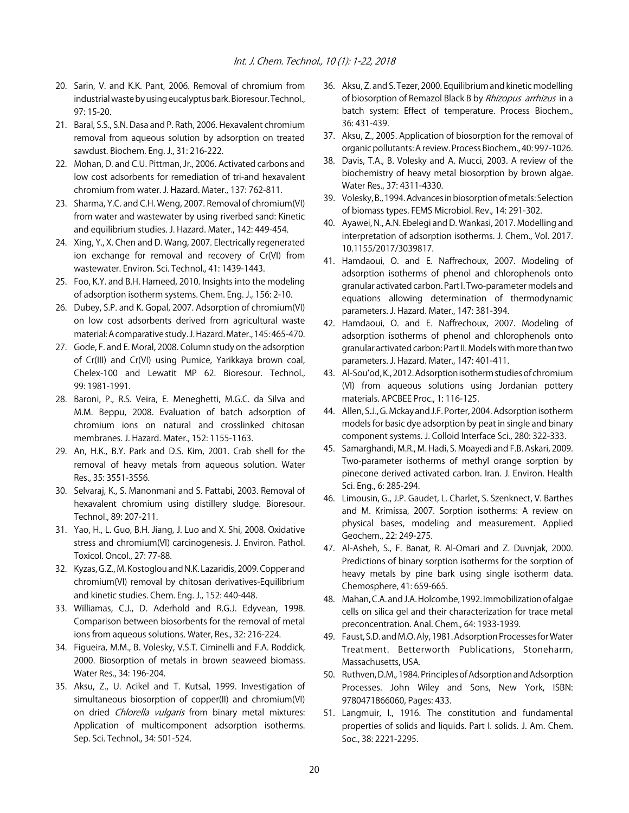- 20. Sarin, V. and K.K. Pant, 2006. Removal of chromium from industrial waste by using eucalyptus bark. Bioresour. Technol., 97: 15-20.
- 21. Baral, S.S., S.N. Dasa and P. Rath, 2006. Hexavalent chromium removal from aqueous solution by adsorption on treated sawdust. Biochem. Eng. J., 31: 216-222.
- 22. Mohan, D. and C.U. Pittman, Jr., 2006. Activated carbons and low cost adsorbents for remediation of tri-and hexavalent chromium from water. J. Hazard. Mater., 137: 762-811.
- 23. Sharma, Y.C. and C.H. Weng, 2007. Removal of chromium(VI) from water and wastewater by using riverbed sand: Kinetic and equilibrium studies. J. Hazard. Mater., 142: 449-454.
- 24. Xing, Y., X. Chen and D. Wang, 2007. Electrically regenerated ion exchange for removal and recovery of Cr(VI) from wastewater. Environ. Sci. Technol., 41: 1439-1443.
- 25. Foo, K.Y. and B.H. Hameed, 2010. Insights into the modeling of adsorption isotherm systems. Chem. Eng. J., 156: 2-10.
- 26. Dubey, S.P. and K. Gopal, 2007. Adsorption of chromium(VI) on low cost adsorbents derived from agricultural waste material: A comparative study. J. Hazard. Mater., 145: 465-470.
- 27. Gode, F. and E. Moral, 2008. Column study on the adsorption of Cr(III) and Cr(VI) using Pumice, Yarikkaya brown coal, Chelex-100 and Lewatit MP 62. Bioresour. Technol., 99: 1981-1991.
- 28. Baroni, P., R.S. Veira, E. Meneghetti, M.G.C. da Silva and M.M. Beppu, 2008. Evaluation of batch adsorption of chromium ions on natural and crosslinked chitosan membranes. J. Hazard. Mater., 152: 1155-1163.
- 29. An, H.K., B.Y. Park and D.S. Kim, 2001. Crab shell for the removal of heavy metals from aqueous solution. Water Res., 35: 3551-3556.
- 30. Selvaraj, K., S. Manonmani and S. Pattabi, 2003. Removal of hexavalent chromium using distillery sludge. Bioresour. Technol., 89: 207-211.
- 31. Yao, H., L. Guo, B.H. Jiang, J. Luo and X. Shi, 2008. Oxidative stress and chromium(VI) carcinogenesis. J. Environ. Pathol. Toxicol. Oncol., 27: 77-88.
- 32. Kyzas, G.Z., M. Kostoglou and N.K. Lazaridis, 2009. Copper and chromium(VI) removal by chitosan derivatives-Equilibrium and kinetic studies. Chem. Eng. J., 152: 440-448.
- 33. Williamas, C.J., D. Aderhold and R.G.J. Edyvean, 1998. Comparison between biosorbents for the removal of metal ions from aqueous solutions. Water, Res., 32: 216-224.
- 34. Figueira, M.M., B. Volesky, V.S.T. Ciminelli and F.A. Roddick, 2000. Biosorption of metals in brown seaweed biomass. Water Res., 34: 196-204.
- 35. Aksu, Z., U. Acikel and T. Kutsal, 1999. Investigation of simultaneous biosorption of copper(II) and chromium(VI) on dried Chlorella vulgaris from binary metal mixtures: Application of multicomponent adsorption isotherms. Sep. Sci. Technol., 34: 501-524.
- 36. Aksu, Z. and S. Tezer, 2000. Equilibrium and kinetic modelling of biosorption of Remazol Black B by Rhizopus arrhizus in a batch system: Effect of temperature. Process Biochem., 36: 431-439.
- 37. Aksu, Z., 2005. Application of biosorption for the removal of organic pollutants: A review. Process Biochem., 40: 997-1026.
- 38. Davis, T.A., B. Volesky and A. Mucci, 2003. A review of the biochemistry of heavy metal biosorption by brown algae. Water Res., 37: 4311-4330.
- 39. Volesky, B., 1994. Advances in biosorption of metals: Selection of biomass types. FEMS Microbiol. Rev., 14: 291-302.
- 40. Ayawei, N., A.N. Ebelegi and D. Wankasi, 2017. Modelling and interpretation of adsorption isotherms. J. Chem., Vol. 2017. 10.1155/2017/3039817.
- 41. Hamdaoui, O. and E. Naffrechoux, 2007. Modeling of adsorption isotherms of phenol and chlorophenols onto granular activated carbon. Part I. Two-parameter models and equations allowing determination of thermodynamic parameters. J. Hazard. Mater., 147: 381-394.
- 42. Hamdaoui, O. and E. Naffrechoux, 2007. Modeling of adsorption isotherms of phenol and chlorophenols onto granular activated carbon: Part II. Models with more than two parameters. J. Hazard. Mater., 147: 401-411.
- 43. Al-Sou'od, K., 2012. Adsorption isotherm studies of chromium (VI) from aqueous solutions using Jordanian pottery materials. APCBEE Proc., 1: 116-125.
- 44. Allen, S.J., G. Mckay and J.F. Porter, 2004. Adsorption isotherm models for basic dye adsorption by peat in single and binary component systems. J. Colloid Interface Sci., 280: 322-333.
- 45. Samarghandi, M.R., M. Hadi, S. Moayedi and F.B. Askari, 2009. Two-parameter isotherms of methyl orange sorption by pinecone derived activated carbon. Iran. J. Environ. Health Sci. Eng., 6: 285-294.
- 46. Limousin, G., J.P. Gaudet, L. Charlet, S. Szenknect, V. Barthes and M. Krimissa, 2007. Sorption isotherms: A review on physical bases, modeling and measurement. Applied Geochem., 22: 249-275.
- 47. Al-Asheh, S., F. Banat, R. Al-Omari and Z. Duvnjak, 2000. Predictions of binary sorption isotherms for the sorption of heavy metals by pine bark using single isotherm data. Chemosphere, 41: 659-665.
- 48. Mahan, C.A. and J.A. Holcombe, 1992. Immobilization of algae cells on silica gel and their characterization for trace metal preconcentration. Anal. Chem., 64: 1933-1939.
- 49. Faust, S.D. and M.O. Aly, 1981. Adsorption Processes for Water Treatment. Betterworth Publications, Stoneharm, Massachusetts, USA.
- 50. Ruthven, D.M., 1984. Principles of Adsorption and Adsorption Processes. John Wiley and Sons, New York, ISBN: 9780471866060, Pages: 433.
- 51. Langmuir, I., 1916. The constitution and fundamental properties of solids and liquids. Part I. solids. J. Am. Chem. Soc., 38: 2221-2295.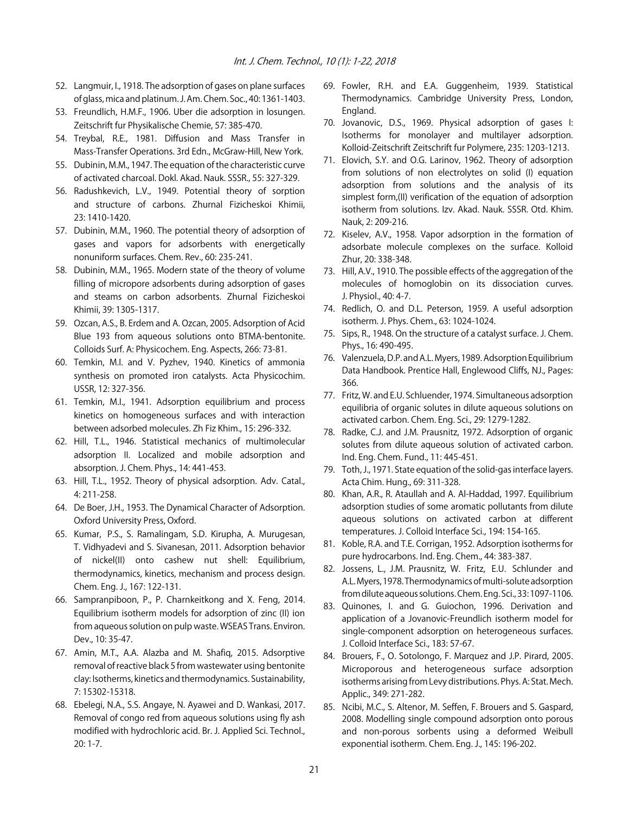- 52. Langmuir, I., 1918. The adsorption of gases on plane surfaces of glass, mica and platinum. J. Am. Chem. Soc., 40: 1361-1403.
- 53. Freundlich, H.M.F., 1906. Uber die adsorption in losungen. Zeitschrift fur Physikalische Chemie, 57: 385-470.
- 54. Treybal, R.E., 1981. Diffusion and Mass Transfer in Mass-Transfer Operations. 3rd Edn., McGraw-Hill, New York.
- 55. Dubinin, M.M., 1947. The equation of the characteristic curve of activated charcoal. Dokl. Akad. Nauk. SSSR., 55: 327-329.
- 56. Radushkevich, L.V., 1949. Potential theory of sorption and structure of carbons. Zhurnal Fizicheskoi Khimii, 23: 1410-1420.
- 57. Dubinin, M.M., 1960. The potential theory of adsorption of gases and vapors for adsorbents with energetically nonuniform surfaces. Chem. Rev., 60: 235-241.
- 58. Dubinin, M.M., 1965. Modern state of the theory of volume filling of micropore adsorbents during adsorption of gases and steams on carbon adsorbents. Zhurnal Fizicheskoi Khimii, 39: 1305-1317.
- 59. Ozcan, A.S., B. Erdem and A. Ozcan, 2005. Adsorption of Acid Blue 193 from aqueous solutions onto BTMA-bentonite. Colloids Surf. A: Physicochem. Eng. Aspects, 266: 73-81.
- 60. Temkin, M.I. and V. Pyzhev, 1940. Kinetics of ammonia synthesis on promoted iron catalysts. Acta Physicochim. USSR, 12: 327-356.
- 61. Temkin, M.I., 1941. Adsorption equilibrium and process kinetics on homogeneous surfaces and with interaction between adsorbed molecules. Zh Fiz Khim., 15: 296-332.
- 62. Hill, T.L., 1946. Statistical mechanics of multimolecular adsorption II. Localized and mobile adsorption and absorption. J. Chem. Phys., 14: 441-453.
- 63. Hill, T.L., 1952. Theory of physical adsorption. Adv. Catal., 4: 211-258.
- 64. De Boer, J.H., 1953. The Dynamical Character of Adsorption. Oxford University Press, Oxford.
- 65. Kumar, P.S., S. Ramalingam, S.D. Kirupha, A. Murugesan, T. Vidhyadevi and S. Sivanesan, 2011. Adsorption behavior of nickel(II) onto cashew nut shell: Equilibrium, thermodynamics, kinetics, mechanism and process design. Chem. Eng. J., 167: 122-131.
- 66. Sampranpiboon, P., P. Charnkeitkong and X. Feng, 2014. Equilibrium isotherm models for adsorption of zinc (II) ion from aqueous solution on pulp waste. WSEAS Trans. Environ. Dev., 10: 35-47.
- 67. Amin, M.T., A.A. Alazba and M. Shafiq, 2015. Adsorptive removal of reactive black 5 from wastewater using bentonite clay: Isotherms, kinetics and thermodynamics. Sustainability, 7: 15302-15318.
- 68. Ebelegi, N.A., S.S. Angaye, N. Ayawei and D. Wankasi, 2017. Removal of congo red from aqueous solutions using fly ash modified with hydrochloric acid. Br. J. Applied Sci. Technol., 20: 1-7.
- 69. Fowler, R.H. and E.A. Guggenheim, 1939. Statistical Thermodynamics. Cambridge University Press, London, England.
- 70. Jovanovic, D.S., 1969. Physical adsorption of gases I: Isotherms for monolayer and multilayer adsorption. Kolloid-Zeitschrift Zeitschrift fur Polymere, 235: 1203-1213.
- 71. Elovich, S.Y. and O.G. Larinov, 1962. Theory of adsorption from solutions of non electrolytes on solid (I) equation adsorption from solutions and the analysis of its simplest form,(II) verification of the equation of adsorption isotherm from solutions. Izv. Akad. Nauk. SSSR. Otd. Khim. Nauk, 2: 209-216.
- 72. Kiselev, A.V., 1958. Vapor adsorption in the formation of adsorbate molecule complexes on the surface. Kolloid Zhur, 20: 338-348.
- 73. Hill, A.V., 1910. The possible effects of the aggregation of the molecules of homoglobin on its dissociation curves. J. Physiol., 40: 4-7.
- 74. Redlich, O. and D.L. Peterson, 1959. A useful adsorption isotherm. J. Phys. Chem., 63: 1024-1024.
- 75. Sips, R., 1948. On the structure of a catalyst surface. J. Chem. Phys., 16: 490-495.
- 76. Valenzuela, D.P. and A.L. Myers, 1989. Adsorption Equilibrium Data Handbook. Prentice Hall, Englewood Cliffs, NJ., Pages: 366.
- 77. Fritz, W. and E.U. Schluender, 1974. Simultaneous adsorption equilibria of organic solutes in dilute aqueous solutions on activated carbon. Chem. Eng. Sci., 29: 1279-1282.
- 78. Radke, C.J. and J.M. Prausnitz, 1972. Adsorption of organic solutes from dilute aqueous solution of activated carbon. Ind. Eng. Chem. Fund., 11: 445-451.
- 79. Toth, J., 1971. State equation of the solid-gas interface layers. Acta Chim. Hung., 69: 311-328.
- 80. Khan, A.R., R. Ataullah and A. Al-Haddad, 1997. Equilibrium adsorption studies of some aromatic pollutants from dilute aqueous solutions on activated carbon at different temperatures. J. Colloid Interface Sci., 194: 154-165.
- 81. Koble, R.A. and T.E. Corrigan, 1952. Adsorption isotherms for pure hydrocarbons. Ind. Eng. Chem., 44: 383-387.
- 82. Jossens, L., J.M. Prausnitz, W. Fritz, E.U. Schlunder and A.L. Myers, 1978. Thermodynamics of multi-solute adsorption from dilute aqueous solutions. Chem. Eng. Sci., 33: 1097-1106.
- 83. Quinones, I. and G. Guiochon, 1996. Derivation and application of a Jovanovic-Freundlich isotherm model for single-component adsorption on heterogeneous surfaces. J. Colloid Interface Sci., 183: 57-67.
- 84. Brouers, F., O. Sotolongo, F. Marquez and J.P. Pirard, 2005. Microporous and heterogeneous surface adsorption isotherms arising from Levy distributions. Phys. A: Stat. Mech. Applic., 349: 271-282.
- 85. Ncibi, M.C., S. Altenor, M. Seffen, F. Brouers and S. Gaspard, 2008. Modelling single compound adsorption onto porous and non-porous sorbents using a deformed Weibull exponential isotherm. Chem. Eng. J., 145: 196-202.